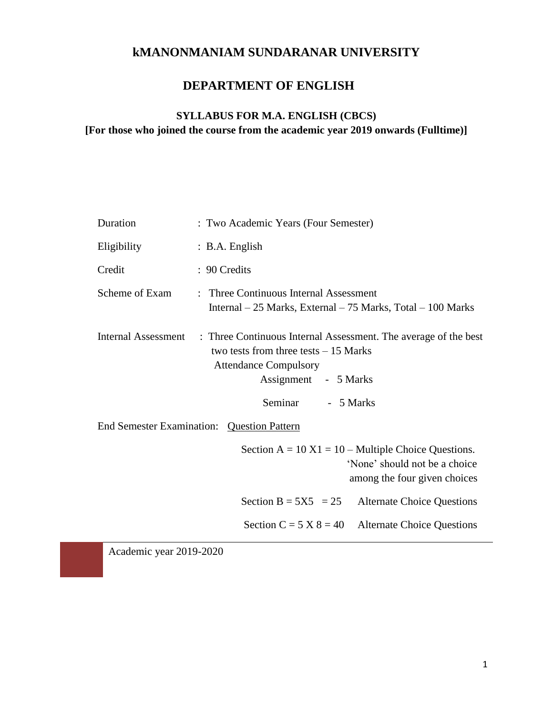# **kMANONMANIAM SUNDARANAR UNIVERSITY**

## **DEPARTMENT OF ENGLISH**

## **SYLLABUS FOR M.A. ENGLISH (CBCS)**

**[For those who joined the course from the academic year 2019 onwards (Fulltime)]** 

| Duration            | : Two Academic Years (Four Semester)                                                                                                                                                      |  |  |  |
|---------------------|-------------------------------------------------------------------------------------------------------------------------------------------------------------------------------------------|--|--|--|
| Eligibility         | : B.A. English                                                                                                                                                                            |  |  |  |
| Credit              | : 90 Credits                                                                                                                                                                              |  |  |  |
| Scheme of Exam      | : Three Continuous Internal Assessment<br>Internal $-25$ Marks, External $-75$ Marks, Total $-100$ Marks                                                                                  |  |  |  |
| Internal Assessment | : Three Continuous Internal Assessment. The average of the best<br>two tests from three tests $-15$ Marks<br><b>Attendance Compulsory</b><br>Assignment - 5 Marks<br>Seminar<br>- 5 Marks |  |  |  |
|                     | End Semester Examination: Question Pattern                                                                                                                                                |  |  |  |
|                     | Section $A = 10 X1 = 10 - \text{Multiple Choice Questions.}$<br>'None' should not be a choice<br>among the four given choices                                                             |  |  |  |
|                     | Section B = $5X5 = 25$<br><b>Alternate Choice Questions</b>                                                                                                                               |  |  |  |
|                     | Section C = $5 X 8 = 40$<br><b>Alternate Choice Questions</b>                                                                                                                             |  |  |  |
|                     |                                                                                                                                                                                           |  |  |  |

Academic year 2019-2020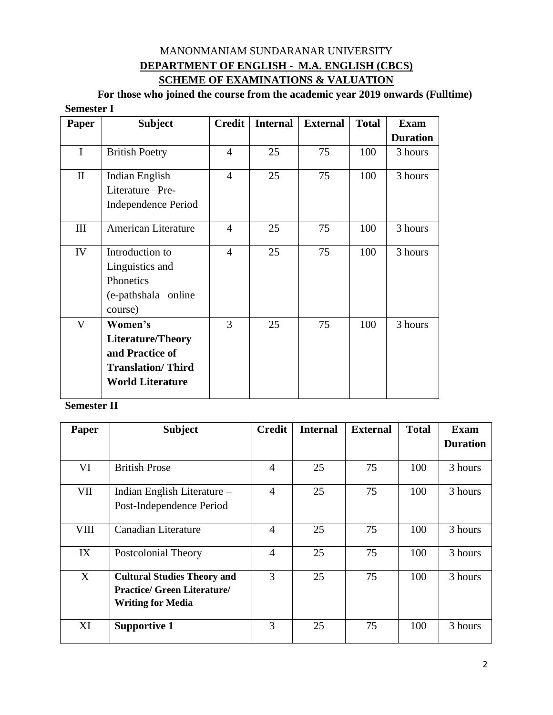## MANONMANIAM SUNDARANAR UNIVERSITY **DEPARTMENT OF ENGLISH - M.A. ENGLISH (CBCS) SCHEME OF EXAMINATIONS & VALUATION**

**For those who joined the course from the academic year 2019 onwards (Fulltime) Semester I**

| Paper        | <b>Subject</b>             | <b>Credit</b>  | <b>Internal</b> | <b>External</b> | <b>Total</b> | <b>Exam</b>     |
|--------------|----------------------------|----------------|-----------------|-----------------|--------------|-----------------|
|              |                            |                |                 |                 |              | <b>Duration</b> |
| I            | <b>British Poetry</b>      | $\overline{4}$ | 25              | 75              | 100          | 3 hours         |
| $\mathbf{I}$ | Indian English             | $\overline{4}$ | 25              | 75              | 100          | 3 hours         |
|              | Literature -Pre-           |                |                 |                 |              |                 |
|              | <b>Independence Period</b> |                |                 |                 |              |                 |
| III          | <b>American Literature</b> | $\overline{4}$ | 25              | 75              | 100          | 3 hours         |
| IV           | Introduction to            | $\overline{4}$ | 25              | 75              | 100          | 3 hours         |
|              | Linguistics and            |                |                 |                 |              |                 |
|              | Phonetics                  |                |                 |                 |              |                 |
|              | (e-pathshala online        |                |                 |                 |              |                 |
|              | course)                    |                |                 |                 |              |                 |
| $\mathbf V$  | Women's                    | 3              | 25              | 75              | 100          | 3 hours         |
|              | <b>Literature/Theory</b>   |                |                 |                 |              |                 |
|              | and Practice of            |                |                 |                 |              |                 |
|              | <b>Translation/Third</b>   |                |                 |                 |              |                 |
|              | <b>World Literature</b>    |                |                 |                 |              |                 |

## **Semester II**

| Paper       | <b>Subject</b>                     | <b>Credit</b>  | <b>Internal</b> | <b>External</b> | <b>Total</b> | <b>Exam</b>     |
|-------------|------------------------------------|----------------|-----------------|-----------------|--------------|-----------------|
|             |                                    |                |                 |                 |              | <b>Duration</b> |
|             |                                    |                |                 |                 |              |                 |
| VI          | <b>British Prose</b>               | 4              | 25              | 75              | 100          | 3 hours         |
| VII         | Indian English Literature –        | $\overline{4}$ | 25              | 75              | 100          | 3 hours         |
|             | Post-Independence Period           |                |                 |                 |              |                 |
| <b>VIII</b> | Canadian Literature                | 4              | 25              | 75              | 100          | 3 hours         |
| IX          | Postcolonial Theory                | $\overline{4}$ | 25              | 75              | 100          | 3 hours         |
| X           | <b>Cultural Studies Theory and</b> | 3              | 25              | 75              | 100          | 3 hours         |
|             | <b>Practice/ Green Literature/</b> |                |                 |                 |              |                 |
|             | <b>Writing for Media</b>           |                |                 |                 |              |                 |
| XI          | <b>Supportive 1</b>                | 3              | 25              | 75              | 100          | 3 hours         |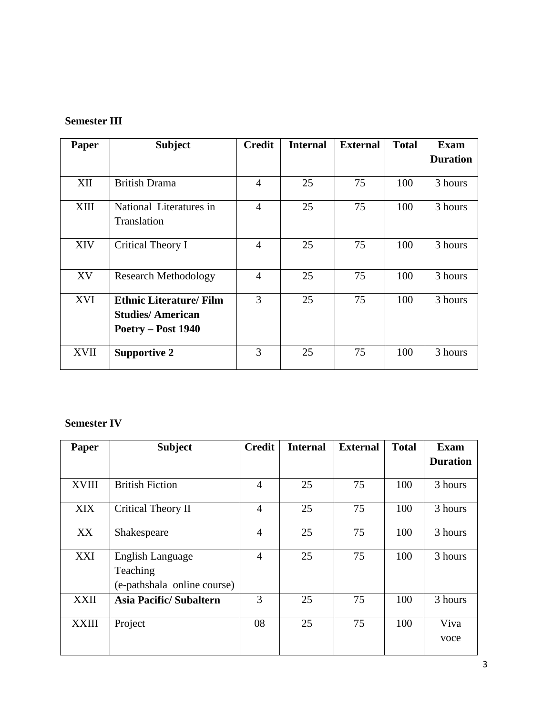## **Semester III**

| Paper       | <b>Subject</b>                 | <b>Credit</b>  | <b>Internal</b> | <b>External</b> | <b>Total</b> | <b>Exam</b>     |
|-------------|--------------------------------|----------------|-----------------|-----------------|--------------|-----------------|
|             |                                |                |                 |                 |              | <b>Duration</b> |
|             |                                |                |                 |                 |              |                 |
| XII         | <b>British Drama</b>           | 4              | 25              | 75              | 100          | 3 hours         |
| XIII        | National Literatures in        | $\overline{4}$ | 25              | 75              | 100          | 3 hours         |
|             | Translation                    |                |                 |                 |              |                 |
| <b>XIV</b>  | Critical Theory I              | 4              | 25              | 75              | 100          | 3 hours         |
|             |                                |                |                 |                 |              |                 |
| XV          | <b>Research Methodology</b>    | $\overline{4}$ | 25              | 75              | 100          | 3 hours         |
| <b>XVI</b>  | <b>Ethnic Literature/ Film</b> | 3              | 25              | 75              | 100          | 3 hours         |
|             | <b>Studies/American</b>        |                |                 |                 |              |                 |
|             | Poetry – Post 1940             |                |                 |                 |              |                 |
| <b>XVII</b> | <b>Supportive 2</b>            | 3              | 25              | 75              | 100          | 3 hours         |

## **Semester IV**

| Paper        | <b>Subject</b>                | <b>Credit</b>  | <b>Internal</b> | <b>External</b> | <b>Total</b> | <b>Exam</b>     |
|--------------|-------------------------------|----------------|-----------------|-----------------|--------------|-----------------|
|              |                               |                |                 |                 |              | <b>Duration</b> |
|              |                               |                |                 |                 |              |                 |
| <b>XVIII</b> | <b>British Fiction</b>        | $\overline{4}$ | 25              | 75              | 100          | 3 hours         |
| <b>XIX</b>   | Critical Theory II            | 4              | 25              | 75              | 100          | 3 hours         |
| XX           | Shakespeare                   | $\overline{4}$ | 25              | 75              | 100          | 3 hours         |
| <b>XXI</b>   | English Language              | $\overline{4}$ | 25              | 75              | 100          | 3 hours         |
|              | Teaching                      |                |                 |                 |              |                 |
|              | (e-pathshala online course)   |                |                 |                 |              |                 |
| <b>XXII</b>  | <b>Asia Pacific/Subaltern</b> | 3              | 25              | 75              | 100          | 3 hours         |
| <b>XXIII</b> | Project                       | 08             | 25              | 75              | 100          | Viva            |
|              |                               |                |                 |                 |              | voce            |
|              |                               |                |                 |                 |              |                 |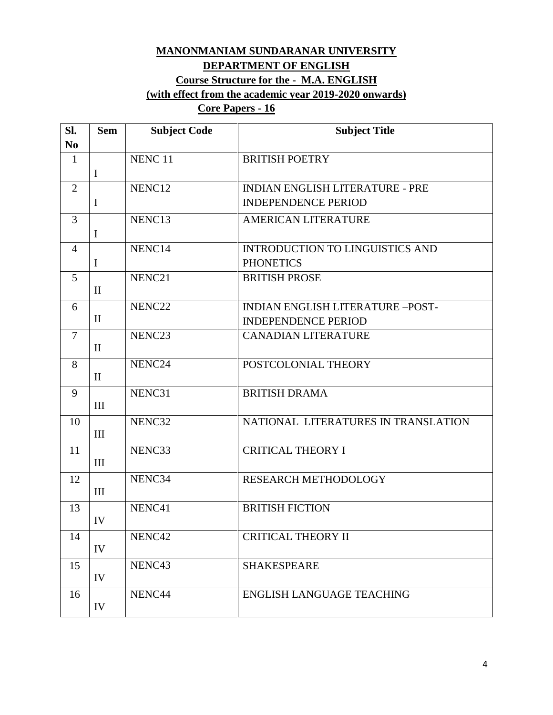## **MANONMANIAM SUNDARANAR UNIVERSITY DEPARTMENT OF ENGLISH Course Structure for the - M.A. ENGLISH (with effect from the academic year 2019-2020 onwards)**

## **Core Papers - 16**

| SI.            | <b>Sem</b>   | <b>Subject Code</b> | <b>Subject Title</b>                    |
|----------------|--------------|---------------------|-----------------------------------------|
| N <sub>0</sub> |              |                     |                                         |
| $\mathbf{1}$   |              | NENC <sub>11</sub>  | <b>BRITISH POETRY</b>                   |
|                | $\mathbf I$  |                     |                                         |
| $\overline{2}$ |              | NENC12              | <b>INDIAN ENGLISH LITERATURE - PRE</b>  |
|                | $\mathbf I$  |                     | <b>INDEPENDENCE PERIOD</b>              |
| $\overline{3}$ |              | NENC13              | <b>AMERICAN LITERATURE</b>              |
|                | $\mathbf I$  |                     |                                         |
| $\overline{4}$ |              | NENC14              | <b>INTRODUCTION TO LINGUISTICS AND</b>  |
|                | $\mathbf I$  |                     | <b>PHONETICS</b>                        |
| 5              |              | NENC21              | <b>BRITISH PROSE</b>                    |
|                | $\mathbf{I}$ |                     |                                         |
| 6              |              | NENC22              | <b>INDIAN ENGLISH LITERATURE -POST-</b> |
|                | $\mathbf{I}$ |                     | <b>INDEPENDENCE PERIOD</b>              |
| $\overline{7}$ |              | NENC <sub>23</sub>  | <b>CANADIAN LITERATURE</b>              |
|                | $\mathbf{I}$ |                     |                                         |
| 8              |              | NENC24              | POSTCOLONIAL THEORY                     |
|                | $\mathbf{I}$ |                     |                                         |
| 9              |              | NENC31              | <b>BRITISH DRAMA</b>                    |
|                | III          |                     |                                         |
| 10             |              | NENC32              | NATIONAL LITERATURES IN TRANSLATION     |
|                | III          |                     |                                         |
| 11             | III          | NENC33              | <b>CRITICAL THEORY I</b>                |
|                |              |                     |                                         |
| 12             | III          | NENC34              | RESEARCH METHODOLOGY                    |
|                |              | NENC41              | <b>BRITISH FICTION</b>                  |
| 13             | IV           |                     |                                         |
| 14             |              | NENC42              | <b>CRITICAL THEORY II</b>               |
|                | IV           |                     |                                         |
| 15             |              | NENC43              | <b>SHAKESPEARE</b>                      |
|                | IV           |                     |                                         |
| 16             |              | NENC44              | <b>ENGLISH LANGUAGE TEACHING</b>        |
|                | IV           |                     |                                         |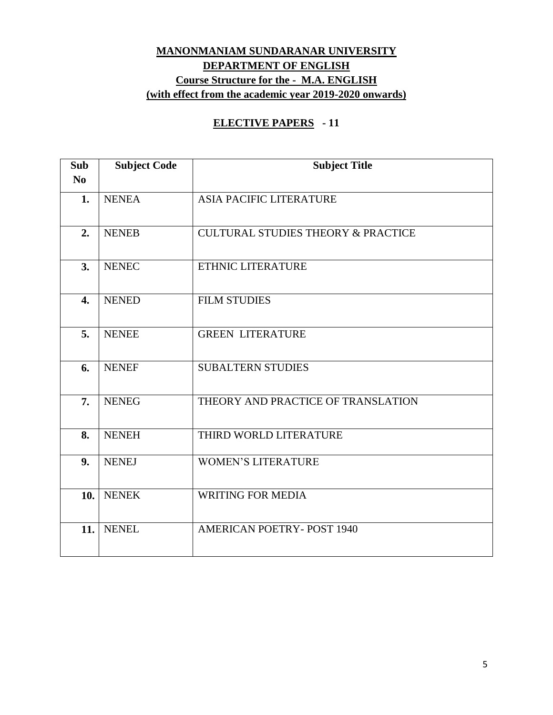## **MANONMANIAM SUNDARANAR UNIVERSITY DEPARTMENT OF ENGLISH Course Structure for the - M.A. ENGLISH (with effect from the academic year 2019-2020 onwards)**

### **ELECTIVE PAPERS - 11**

| Sub<br>N <sub>o</sub> | <b>Subject Code</b> | <b>Subject Title</b>                          |
|-----------------------|---------------------|-----------------------------------------------|
| 1.                    | <b>NENEA</b>        | <b>ASIA PACIFIC LITERATURE</b>                |
| 2.                    | <b>NENEB</b>        | <b>CULTURAL STUDIES THEORY &amp; PRACTICE</b> |
| 3.                    | <b>NENEC</b>        | ETHNIC LITERATURE                             |
| 4.                    | <b>NENED</b>        | <b>FILM STUDIES</b>                           |
| 5.                    | <b>NENEE</b>        | <b>GREEN LITERATURE</b>                       |
| 6.                    | <b>NENEF</b>        | <b>SUBALTERN STUDIES</b>                      |
| 7.                    | <b>NENEG</b>        | THEORY AND PRACTICE OF TRANSLATION            |
| 8.                    | <b>NENEH</b>        | THIRD WORLD LITERATURE                        |
| 9 <sub>r</sub>        | <b>NENEJ</b>        | <b>WOMEN'S LITERATURE</b>                     |
| 10.                   | <b>NENEK</b>        | <b>WRITING FOR MEDIA</b>                      |
| 11.                   | <b>NENEL</b>        | <b>AMERICAN POETRY-POST 1940</b>              |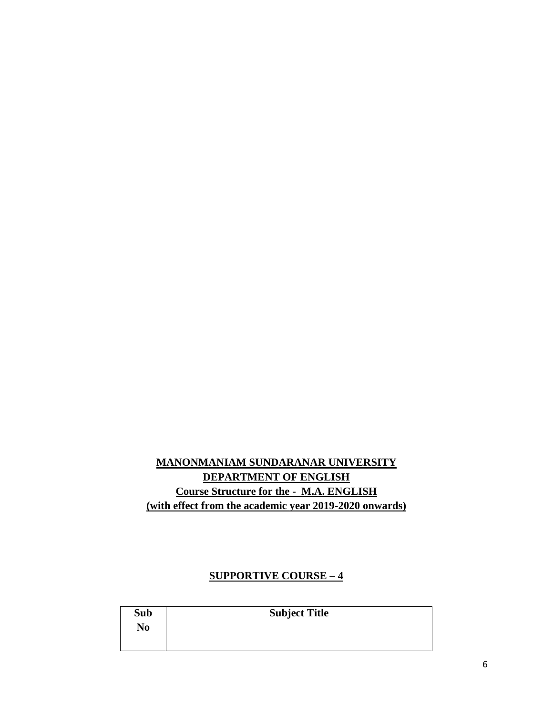## **MANONMANIAM SUNDARANAR UNIVERSITY DEPARTMENT OF ENGLISH Course Structure for the - M.A. ENGLISH (with effect from the academic year 2019-2020 onwards)**

### **SUPPORTIVE COURSE – 4**

| Sub            | <b>Subject Title</b> |
|----------------|----------------------|
| N <sub>0</sub> |                      |
|                |                      |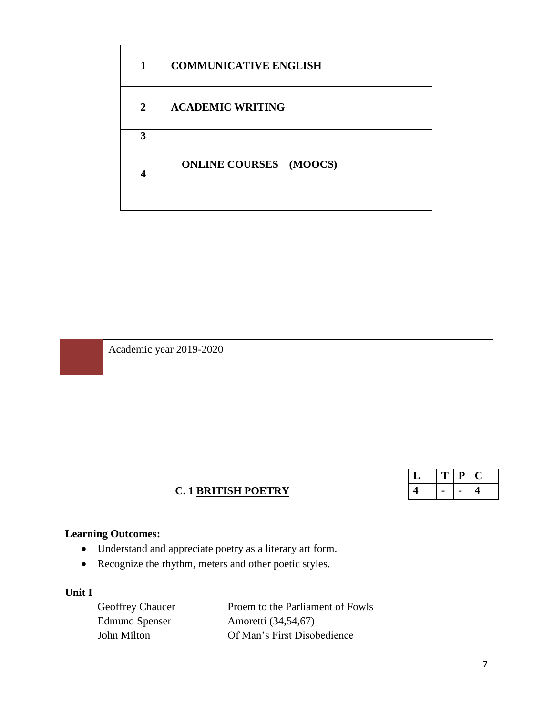| 1              | <b>COMMUNICATIVE ENGLISH</b>  |
|----------------|-------------------------------|
| $\overline{2}$ | <b>ACADEMIC WRITING</b>       |
| 3              |                               |
|                | <b>ONLINE COURSES</b> (MOOCS) |

Academic year 2019-2020

## **C. 1 BRITISH POETRY**

| ب | п<br>n | D | ч. |
|---|--------|---|----|
|   |        |   | г. |

## **Learning Outcomes:**

- Understand and appreciate poetry as a literary art form.
- Recognize the rhythm, meters and other poetic styles.

### **Unit I**

Edmund Spenser Amoretti (34,54,67)

Geoffrey Chaucer Proem to the Parliament of Fowls John Milton Of Man's First Disobedience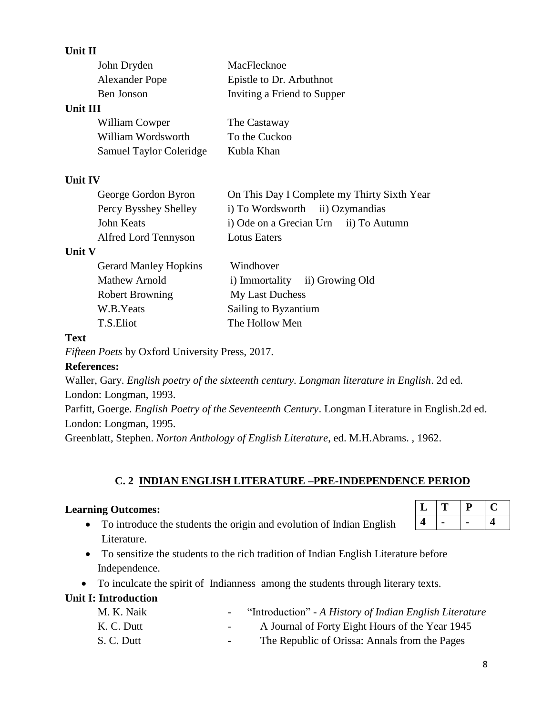### **Unit II**

|               | John Dryden                    | MacFlecknoe                                 |
|---------------|--------------------------------|---------------------------------------------|
|               | <b>Alexander Pope</b>          | Epistle to Dr. Arbuthnot                    |
|               | Ben Jonson                     | Inviting a Friend to Supper                 |
| Unit III      |                                |                                             |
|               | William Cowper                 | The Castaway                                |
|               | William Wordsworth             | To the Cuckoo                               |
|               | <b>Samuel Taylor Coleridge</b> | Kubla Khan                                  |
| Unit IV       |                                |                                             |
|               | George Gordon Byron            | On This Day I Complete my Thirty Sixth Year |
|               | Percy Bysshey Shelley          | i) To Wordsworth ii) Ozymandias             |
|               | John Keats                     | i) Ode on a Grecian Urn ii) To Autumn       |
|               | Alfred Lord Tennyson           | <b>Lotus Eaters</b>                         |
| <b>Unit V</b> |                                |                                             |
|               | <b>Gerard Manley Hopkins</b>   | Windhover                                   |
|               | <b>Mathew Arnold</b>           | i) Immortality ii) Growing Old              |
|               | <b>Robert Browning</b>         | My Last Duchess                             |
|               | W.B.Yeats                      | Sailing to Byzantium                        |
|               | T.S.Eliot                      | The Hollow Men                              |

### **Text**

*Fifteen Poets* by Oxford University Press, 2017.

### **References:**

Waller, Gary. *English poetry of the sixteenth century. Longman literature in English*. 2d ed. London: Longman, 1993.

Parfitt, Goerge. *English Poetry of the Seventeenth Century*. Longman Literature in English.2d ed. London: Longman, 1995.

Greenblatt, Stephen. *Norton Anthology of English Literature*, ed. M.H.Abrams. , 1962.

## **C. 2 INDIAN ENGLISH LITERATURE –PRE-INDEPENDENCE PERIOD**

### **Learning Outcomes:**

- To introduce the students the origin and evolution of Indian English Literature.
- To sensitize the students to the rich tradition of Indian English Literature before Independence.
- To inculcate the spirit of Indianness among the students through literary texts.

## **Unit I: Introduction**

| M. K. Naik | $\sim$ 100 $\sim$ | "Introduction" - A History of Indian English Literature |
|------------|-------------------|---------------------------------------------------------|
| K. C. Dutt | $\sim$ 100 $\mu$  | A Journal of Forty Eight Hours of the Year 1945         |
| S. C. Dutt | $\sim$ 100 $\mu$  | The Republic of Orissa: Annals from the Pages           |

# $L |T | P | C$ **4 - - 4**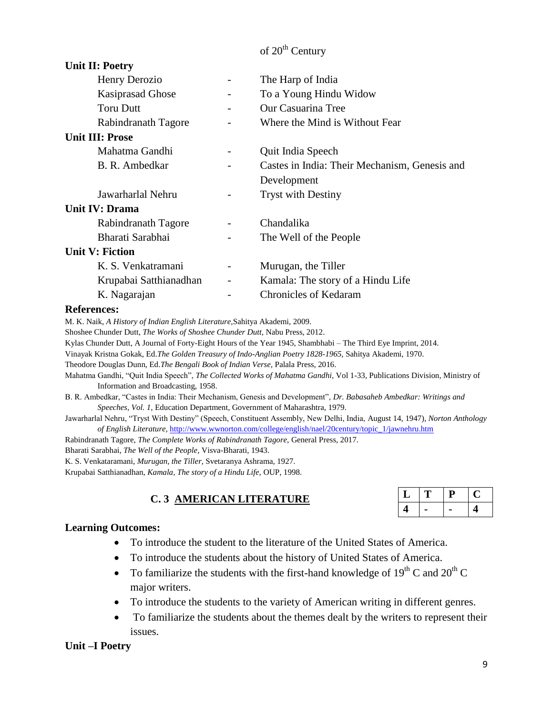## of 20<sup>th</sup> Century

| <b>Unit II: Poetry</b>  |                          |                                               |
|-------------------------|--------------------------|-----------------------------------------------|
| Henry Derozio           | $\overline{\phantom{a}}$ | The Harp of India                             |
| <b>Kasiprasad Ghose</b> |                          | To a Young Hindu Widow                        |
| <b>Toru Dutt</b>        |                          | Our Casuarina Tree                            |
| Rabindranath Tagore     |                          | Where the Mind is Without Fear                |
| <b>Unit III: Prose</b>  |                          |                                               |
| Mahatma Gandhi          |                          | Quit India Speech                             |
| B. R. Ambedkar          |                          | Castes in India: Their Mechanism, Genesis and |
|                         |                          | Development                                   |
| Jawarharlal Nehru       |                          | <b>Tryst with Destiny</b>                     |
| <b>Unit IV: Drama</b>   |                          |                                               |
| Rabindranath Tagore     |                          | Chandalika                                    |
| Bharati Sarabhai        |                          | The Well of the People                        |
| Unit V: Fiction         |                          |                                               |
| K. S. Venkatramani      |                          | Murugan, the Tiller                           |
| Krupabai Satthianadhan  | $\qquad \qquad -$        | Kamala: The story of a Hindu Life             |
| K. Nagarajan            |                          | <b>Chronicles of Kedaram</b>                  |

#### **References:**

M. K. Naik, *A History of Indian English Literature,*Sahitya Akademi, 2009.

Shoshee Chunder Dutt, *The Works of Shoshee Chunder Dutt,* Nabu Press, 2012.

Kylas Chunder Dutt, A Journal of Forty-Eight Hours of the Year 1945, Shambhabi – The Third Eye Imprint, 2014.

Vinayak Kristna Gokak, Ed.*The Golden Treasury of Indo-Anglian Poetry 1828-1965*, Sahitya Akademi, 1970.

Theodore Douglas Dunn, Ed.*The Bengali Book of Indian Verse,* Palala Press, 2016.

Mahatma Gandhi, "Quit India Speech", *The Collected Works of Mahatma Gandhi,* Vol 1-33, Publications Division, Ministry of Information and Broadcasting, 1958.

B. R. Ambedkar, "Castes in India: Their Mechanism, Genesis and Development", *Dr. Babasaheb Ambedkar: Writings and Speeches, Vol. 1,* Education Department, Government of Maharashtra, 1979.

Jawarharlal Nehru, "Tryst With Destiny" (Speech, Constituent Assembly, New Delhi, India, August 14, 1947), *Norton Anthology of English Literature,* [http://www.wwnorton.com/college/english/nael/20century/topic\\_1/jawnehru.htm](http://www.wwnorton.com/college/english/nael/20century/topic_1/jawnehru.htm)

Rabindranath Tagore, *The Complete Works of Rabindranath Tagore,* General Press, 2017.

Bharati Sarabhai, *The Well of the People,* Visva-Bharati, 1943.

K. S. Venkataramani, *Murugan, the Tiller,* Svetaranya Ashrama, 1927.

Krupabai Satthianadhan, *Kamala, The story of a Hindu Life,* OUP, 1998.

### **C. 3 AMERICAN LITERATURE**

| ⊥ | ш |  |
|---|---|--|
|   |   |  |

#### **Learning Outcomes:**

- To introduce the student to the literature of the United States of America.
- To introduce the students about the history of United States of America.
- To familiarize the students with the first-hand knowledge of  $19^{th}$  C and  $20^{th}$  C major writers.
- To introduce the students to the variety of American writing in different genres.
- To familiarize the students about the themes dealt by the writers to represent their issues.

#### **Unit –I Poetry**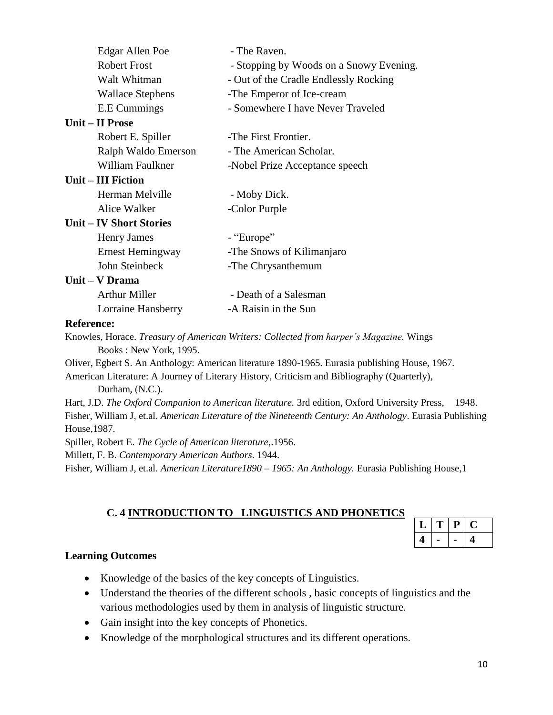| Edgar Allen Poe              | - The Raven.                                                                                                                                                                                                                                                                                  |
|------------------------------|-----------------------------------------------------------------------------------------------------------------------------------------------------------------------------------------------------------------------------------------------------------------------------------------------|
| <b>Robert Frost</b>          | - Stopping by Woods on a Snowy Evening.                                                                                                                                                                                                                                                       |
| Walt Whitman                 | - Out of the Cradle Endlessly Rocking                                                                                                                                                                                                                                                         |
| <b>Wallace Stephens</b>      | -The Emperor of Ice-cream                                                                                                                                                                                                                                                                     |
| <b>E.E</b> Cummings          | - Somewhere I have Never Traveled                                                                                                                                                                                                                                                             |
| Unit – II Prose              |                                                                                                                                                                                                                                                                                               |
| Robert E. Spiller            | -The First Frontier.                                                                                                                                                                                                                                                                          |
| Ralph Waldo Emerson          | - The American Scholar.                                                                                                                                                                                                                                                                       |
| William Faulkner             | -Nobel Prize Acceptance speech                                                                                                                                                                                                                                                                |
| Unit – III Fiction           |                                                                                                                                                                                                                                                                                               |
| Herman Melville              | - Moby Dick.                                                                                                                                                                                                                                                                                  |
| Alice Walker                 | -Color Purple                                                                                                                                                                                                                                                                                 |
| <b>Unit-IV Short Stories</b> |                                                                                                                                                                                                                                                                                               |
| <b>Henry James</b>           | - "Europe"                                                                                                                                                                                                                                                                                    |
| Ernest Hemingway             | -The Snows of Kilimanjaro                                                                                                                                                                                                                                                                     |
| John Steinbeck               | -The Chrysanthemum                                                                                                                                                                                                                                                                            |
| Unit – V Drama               |                                                                                                                                                                                                                                                                                               |
| <b>Arthur Miller</b>         | - Death of a Salesman                                                                                                                                                                                                                                                                         |
| Lorraine Hansberry           | -A Raisin in the Sun                                                                                                                                                                                                                                                                          |
| <b>Reference:</b>            |                                                                                                                                                                                                                                                                                               |
|                              | $V_1, \ldots, V_{n-1}$ . Then $T$ and $\mathcal{C}$ is the $\mathcal{C}$ in the $\mathcal{C}$ if $\mathcal{C}$ is the $\mathcal{C}$ is the $\mathcal{C}$ is the $\mathcal{C}$ is the $\mathcal{C}$ is the $\mathcal{C}$ is the $\mathcal{C}$ is the $\mathcal{C}$ is the $\mathcal{C}$ is the |

Knowles, Horace. *Treasury of American Writers: Collected from harper's Magazine.* Wings Books : New York, 1995.

Oliver, Egbert S. An Anthology: American literature 1890-1965. Eurasia publishing House, 1967.

American Literature: A Journey of Literary History, Criticism and Bibliography (Quarterly), Durham, (N.C.).

Hart, J.D. *The Oxford Companion to American literature.* 3rd edition, Oxford University Press, 1948. Fisher, William J, et.al. *American Literature of the Nineteenth Century: An Anthology*. Eurasia Publishing House,1987.

Spiller, Robert E. *The Cycle of American literature*,.1956.

Millett, F. B. *Contemporary American Authors*. 1944.

Fisher, William J, et.al. *American Literature1890 – 1965: An Anthology.* Eurasia Publishing House,1

### **C. 4 INTRODUCTION TO LINGUISTICS AND PHONETICS**

|  | Η, |  |
|--|----|--|
|  |    |  |

### **Learning Outcomes**

- Knowledge of the basics of the key concepts of Linguistics.
- Understand the theories of the different schools , basic concepts of linguistics and the various methodologies used by them in analysis of linguistic structure.
- Gain insight into the key concepts of Phonetics.
- Knowledge of the morphological structures and its different operations.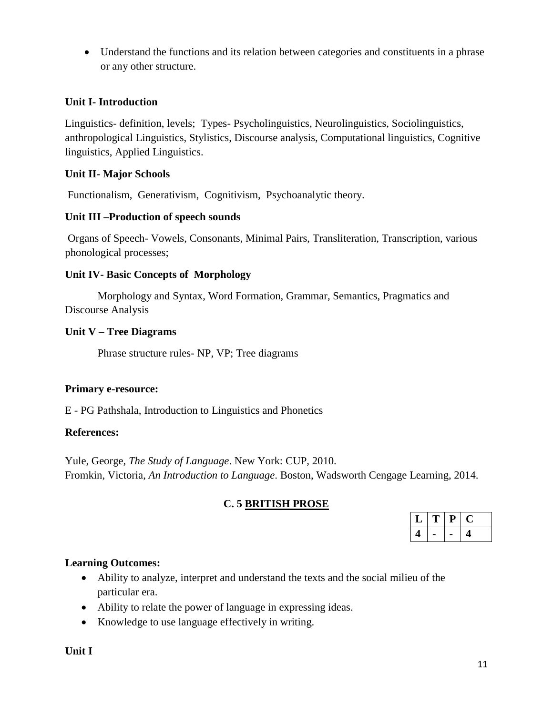Understand the functions and its relation between categories and constituents in a phrase or any other structure.

#### **Unit I- Introduction**

Linguistics- definition, levels; Types- Psycholinguistics, Neurolinguistics, Sociolinguistics, anthropological Linguistics, Stylistics, Discourse analysis, Computational linguistics, Cognitive linguistics, Applied Linguistics.

#### **Unit II- Major Schools**

Functionalism, Generativism, Cognitivism, Psychoanalytic theory.

#### **Unit III –Production of speech sounds**

Organs of Speech- Vowels, Consonants, Minimal Pairs, Transliteration, Transcription, various phonological processes;

#### **Unit IV- Basic Concepts of Morphology**

Morphology and Syntax, Word Formation, Grammar, Semantics, Pragmatics and Discourse Analysis

#### **Unit V – Tree Diagrams**

Phrase structure rules- NP, VP; Tree diagrams

#### **Primary e-resource:**

E - PG Pathshala, Introduction to Linguistics and Phonetics

#### **References:**

Yule, George, *The Study of Language*. New York: CUP, 2010. Fromkin, Victoria, *An Introduction to Language*. Boston, Wadsworth Cengage Learning, 2014.

### **C. 5 BRITISH PROSE**

| ┻ | Р |  |
|---|---|--|
|   |   |  |

### **Learning Outcomes:**

- Ability to analyze, interpret and understand the texts and the social milieu of the particular era.
- Ability to relate the power of language in expressing ideas.
- Knowledge to use language effectively in writing.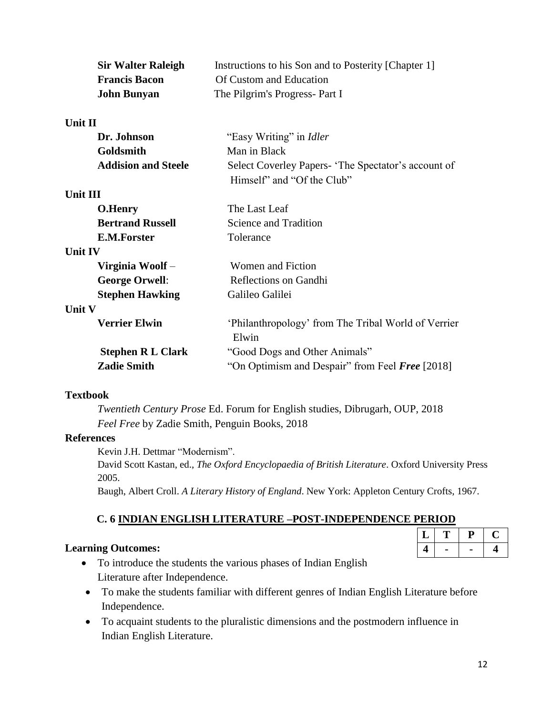| <b>Sir Walter Raleigh</b>  | Instructions to his Son and to Posterity [Chapter 1]                              |
|----------------------------|-----------------------------------------------------------------------------------|
| <b>Francis Bacon</b>       | Of Custom and Education                                                           |
| <b>John Bunyan</b>         | The Pilgrim's Progress- Part I                                                    |
| <b>Unit II</b>             |                                                                                   |
| Dr. Johnson                | "Easy Writing" in <i>Idler</i>                                                    |
| Goldsmith                  | Man in Black                                                                      |
| <b>Addision and Steele</b> | Select Coverley Papers- 'The Spectator's account of<br>Himself" and "Of the Club" |
| <b>Unit III</b>            |                                                                                   |
| <b>O.Henry</b>             | The Last Leaf                                                                     |
| <b>Bertrand Russell</b>    | Science and Tradition                                                             |
| <b>E.M.Forster</b>         | Tolerance                                                                         |
| <b>Unit IV</b>             |                                                                                   |
| Virginia Woolf -           | Women and Fiction                                                                 |
| <b>George Orwell:</b>      | Reflections on Gandhi                                                             |
| <b>Stephen Hawking</b>     | Galileo Galilei                                                                   |
| Unit V                     |                                                                                   |
| <b>Verrier Elwin</b>       | 'Philanthropology' from The Tribal World of Verrier<br>Elwin                      |
| <b>Stephen R L Clark</b>   | "Good Dogs and Other Animals"                                                     |
| <b>Zadie Smith</b>         | "On Optimism and Despair" from Feel Free [2018]                                   |

#### **Textbook**

*Twentieth Century Prose* Ed. Forum for English studies, Dibrugarh, OUP, 2018 *Feel Free* by Zadie Smith, Penguin Books, 2018

#### **References**

Kevin J.H. Dettmar "Modernism".

David Scott Kastan, ed., *The Oxford Encyclopaedia of British Literature*. Oxford University Press 2005.

Baugh, Albert Croll. *A Literary History of England*. New York: Appleton Century Crofts, 1967.

## **C. 6 INDIAN ENGLISH LITERATURE –POST-INDEPENDENCE PERIOD**

### **Learning Outcomes:**

- To introduce the students the various phases of Indian English Literature after Independence.
- To make the students familiar with different genres of Indian English Literature before Independence.
- To acquaint students to the pluralistic dimensions and the postmodern influence in Indian English Literature.

 $L$  **T P C 4 - - 4**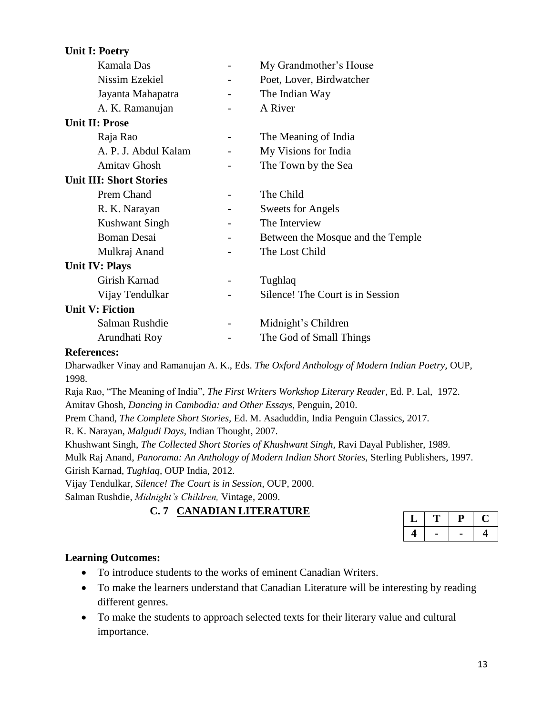| <b>Unit I: Poetry</b>          |                          |                                   |
|--------------------------------|--------------------------|-----------------------------------|
| Kamala Das                     | $\overline{\phantom{a}}$ | My Grandmother's House            |
| Nissim Ezekiel                 |                          | Poet, Lover, Birdwatcher          |
| Jayanta Mahapatra              |                          | The Indian Way                    |
| A. K. Ramanujan                |                          | A River                           |
| <b>Unit II: Prose</b>          |                          |                                   |
| Raja Rao                       |                          | The Meaning of India              |
| A. P. J. Abdul Kalam           |                          | My Visions for India              |
| <b>Amitav Ghosh</b>            |                          | The Town by the Sea               |
| <b>Unit III: Short Stories</b> |                          |                                   |
| Prem Chand                     |                          | The Child                         |
| R. K. Narayan                  |                          | <b>Sweets for Angels</b>          |
| <b>Kushwant Singh</b>          |                          | The Interview                     |
| <b>Boman Desai</b>             |                          | Between the Mosque and the Temple |
| Mulkraj Anand                  |                          | The Lost Child                    |
| <b>Unit IV: Plays</b>          |                          |                                   |
| Girish Karnad                  |                          | Tughlaq                           |
| Vijay Tendulkar                |                          | Silence! The Court is in Session  |
| <b>Unit V: Fiction</b>         |                          |                                   |
| Salman Rushdie                 |                          | Midnight's Children               |
| Arundhati Roy                  |                          | The God of Small Things           |

#### **References:**

Dharwadker Vinay and Ramanujan A. K., Eds. *The Oxford Anthology of Modern Indian Poetry,* OUP, 1998.

Raja Rao, "The Meaning of India", *The First Writers Workshop Literary Reader,* Ed. P. Lal, 1972. Amitav Ghosh, *Dancing in Cambodia: and Other Essays,* Penguin, 2010.

Prem Chand, *The Complete Short Stories,* Ed. M. Asaduddin, India Penguin Classics, 2017.

R. K. Narayan, *Malgudi Days,* Indian Thought, 2007.

Khushwant Singh, *The Collected Short Stories of Khushwant Singh,* Ravi Dayal Publisher, 1989.

Mulk Raj Anand, *Panorama: An Anthology of Modern Indian Short Stories,* Sterling Publishers, 1997.

Girish Karnad, *Tughlaq,* OUP India, 2012.

Vijay Tendulkar, *Silence! The Court is in Session,* OUP, 2000.

Salman Rushdie, *Midnight's Children,* Vintage, 2009.

### **C. 7 CANADIAN LITERATURE**

| ┻ | 47 |  |
|---|----|--|
|   |    |  |

### **Learning Outcomes:**

- To introduce students to the works of eminent Canadian Writers.
- To make the learners understand that Canadian Literature will be interesting by reading different genres.
- To make the students to approach selected texts for their literary value and cultural importance.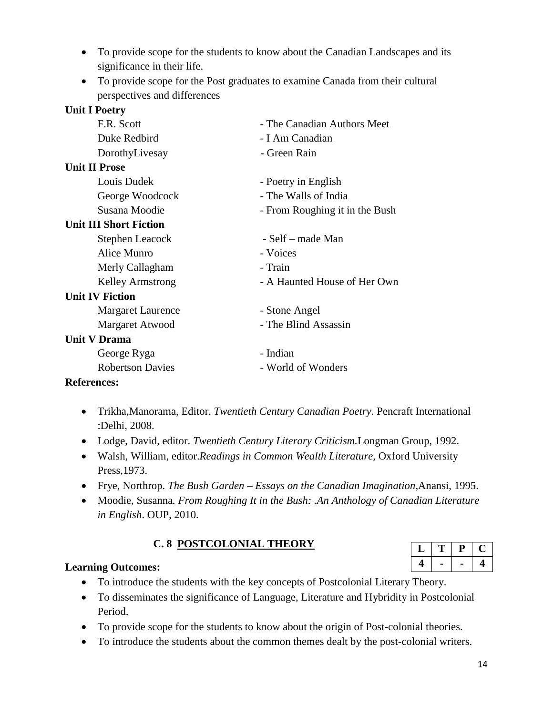- To provide scope for the students to know about the Canadian Landscapes and its significance in their life.
- To provide scope for the Post graduates to examine Canada from their cultural perspectives and differences

| <b>Unit I Poetry</b>          |                                |
|-------------------------------|--------------------------------|
| F.R. Scott                    | - The Canadian Authors Meet    |
| Duke Redbird                  | - I Am Canadian                |
| DorothyLivesay                | - Green Rain                   |
| <b>Unit II Prose</b>          |                                |
| Louis Dudek                   | - Poetry in English            |
| George Woodcock               | - The Walls of India           |
| Susana Moodie                 | - From Roughing it in the Bush |
| <b>Unit III Short Fiction</b> |                                |
| Stephen Leacock               | - Self – made Man              |
| Alice Munro                   | - Voices                       |
| Merly Callagham               | - Train                        |
| <b>Kelley Armstrong</b>       | - A Haunted House of Her Own   |
| <b>Unit IV Fiction</b>        |                                |
| <b>Margaret Laurence</b>      | - Stone Angel                  |
| Margaret Atwood               | - The Blind Assassin           |
| <b>Unit V Drama</b>           |                                |
| George Ryga                   | - Indian                       |
| <b>Robertson Davies</b>       | - World of Wonders             |
|                               |                                |

### **References:**

- Trikha,Manorama, Editor. *Twentieth Century Canadian Poetry*. Pencraft International :Delhi, 2008.
- Lodge, David, editor. *Twentieth Century Literary Criticism.*Longman Group, 1992.
- Walsh, William, editor.*Readings in Common Wealth Literature,* Oxford University Press,1973.
- Frye, Northrop. *The Bush Garden – Essays on the Canadian Imagination*,Anansi, 1995.
- Moodie, Susanna*. From Roughing It in the Bush: .An Anthology of Canadian Literature in English*. OUP, 2010.

## **C. 8 POSTCOLONIAL THEORY**

### **Learning Outcomes:**

- To introduce the students with the key concepts of Postcolonial Literary Theory.
- To disseminates the significance of Language, Literature and Hybridity in Postcolonial Period.
- To provide scope for the students to know about the origin of Post-colonial theories.
- To introduce the students about the common themes dealt by the post-colonial writers.

|   | υ |  |
|---|---|--|
| ч |   |  |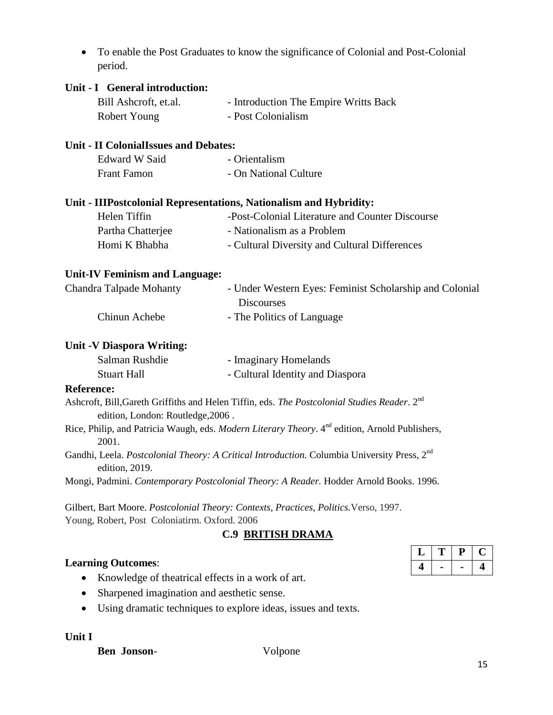To enable the Post Graduates to know the significance of Colonial and Post-Colonial period.

| Unit - I General introduction:                |                                                                                                            |   |   |           |  |
|-----------------------------------------------|------------------------------------------------------------------------------------------------------------|---|---|-----------|--|
| Bill Ashcroft, et.al.                         | - Introduction The Empire Writts Back                                                                      |   |   |           |  |
| Robert Young                                  | - Post Colonialism                                                                                         |   |   |           |  |
| Unit - II ColonialIssues and Debates:         |                                                                                                            |   |   |           |  |
| <b>Edward W Said</b>                          | - Orientalism                                                                                              |   |   |           |  |
| <b>Frant Famon</b>                            | - On National Culture                                                                                      |   |   |           |  |
|                                               | Unit - IIIPostcolonial Representations, Nationalism and Hybridity:                                         |   |   |           |  |
| Helen Tiffin                                  | -Post-Colonial Literature and Counter Discourse                                                            |   |   |           |  |
| Partha Chatterjee                             | - Nationalism as a Problem                                                                                 |   |   |           |  |
| Homi K Bhabha                                 | - Cultural Diversity and Cultural Differences                                                              |   |   |           |  |
| <b>Unit-IV Feminism and Language:</b>         |                                                                                                            |   |   |           |  |
| <b>Chandra Talpade Mohanty</b>                | - Under Western Eyes: Feminist Scholarship and Colonial<br><b>Discourses</b>                               |   |   |           |  |
| Chinun Achebe                                 | - The Politics of Language                                                                                 |   |   |           |  |
| <b>Unit -V Diaspora Writing:</b>              |                                                                                                            |   |   |           |  |
| Salman Rushdie                                | - Imaginary Homelands                                                                                      |   |   |           |  |
| <b>Stuart Hall</b>                            | - Cultural Identity and Diaspora                                                                           |   |   |           |  |
| <b>Reference:</b>                             |                                                                                                            |   |   |           |  |
| edition, London: Routledge, 2006.             | Ashcroft, Bill, Gareth Griffiths and Helen Tiffin, eds. The Postcolonial Studies Reader. 2 <sup>nd</sup>   |   |   |           |  |
| 2001.                                         | Rice, Philip, and Patricia Waugh, eds. Modern Literary Theory. 4 <sup>nd</sup> edition, Arnold Publishers, |   |   |           |  |
| edition, 2019.                                | Gandhi, Leela. Postcolonial Theory: A Critical Introduction. Columbia University Press, 2 <sup>nd</sup>    |   |   |           |  |
|                                               | Mongi, Padmini. Contemporary Postcolonial Theory: A Reader. Hodder Arnold Books. 1996.                     |   |   |           |  |
|                                               | Gilbert, Bart Moore. Postcolonial Theory: Contexts, Practices, Politics. Verso, 1997.                      |   |   |           |  |
| Young, Robert, Post Coloniatirm. Oxford. 2006 |                                                                                                            |   |   |           |  |
|                                               | <b>C.9 BRITISH DRAMA</b>                                                                                   |   |   |           |  |
|                                               |                                                                                                            | L | T | ${\bf P}$ |  |

## **Learning Outcomes**:

- Knowledge of theatrical effects in a work of art.
- Sharpened imagination and aesthetic sense.
- Using dramatic techniques to explore ideas, issues and texts.

#### **Unit I**

**Ben Jonson**- Volpone

**4 - - 4**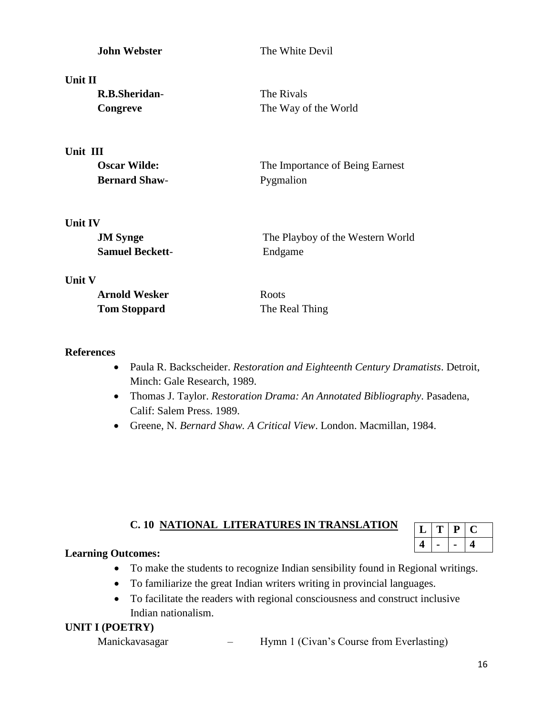| <b>John Webster</b>    | The White Devil                  |  |
|------------------------|----------------------------------|--|
| Unit II                |                                  |  |
| R.B.Sheridan-          | The Rivals                       |  |
| Congreve               | The Way of the World             |  |
| Unit III               |                                  |  |
| <b>Oscar Wilde:</b>    | The Importance of Being Earnest  |  |
| <b>Bernard Shaw-</b>   | Pygmalion                        |  |
| <b>Unit IV</b>         |                                  |  |
| <b>JM</b> Synge        | The Playboy of the Western World |  |
| <b>Samuel Beckett-</b> | Endgame                          |  |
| <b>Unit V</b>          |                                  |  |

| <b>Arnold Wesker</b> | <b>Roots</b>   |
|----------------------|----------------|
| <b>Tom Stoppard</b>  | The Real Thing |

#### **References**

- Paula R. Backscheider. *Restoration and Eighteenth Century Dramatists*. Detroit, Minch: Gale Research, 1989.
- Thomas J. Taylor. *Restoration Drama: An Annotated Bibliography*. Pasadena, Calif: Salem Press. 1989.
- Greene, N*. Bernard Shaw. A Critical View*. London. Macmillan, 1984.

## **C. 10 NATIONAL LITERATURES IN TRANSLATION**

|   | , | IJ |  |
|---|---|----|--|
| 4 |   |    |  |

### **Learning Outcomes:**

- To make the students to recognize Indian sensibility found in Regional writings.
- To familiarize the great Indian writers writing in provincial languages.
- To facilitate the readers with regional consciousness and construct inclusive Indian nationalism.

### **UNIT I (POETRY)**

Manickavasagar – Hymn 1 (Civan's Course from Everlasting)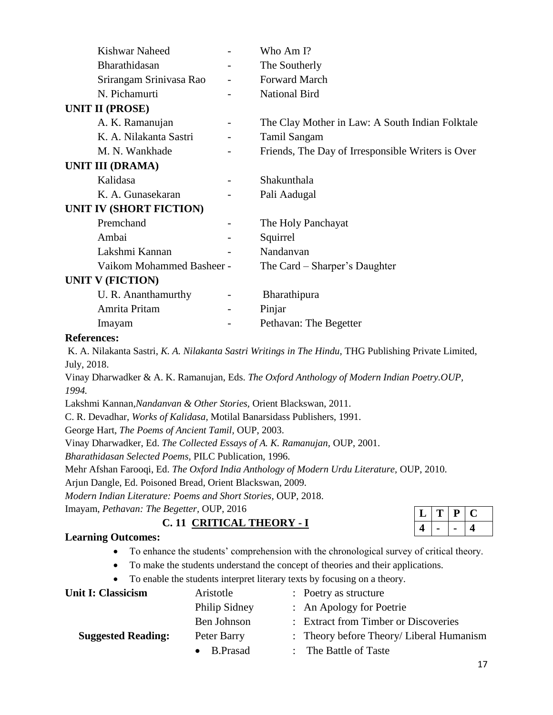| Kishwar Naheed                 |   | Who Am I?                                         |
|--------------------------------|---|---------------------------------------------------|
| Bharathidasan                  |   | The Southerly                                     |
| Srirangam Srinivasa Rao        |   | <b>Forward March</b>                              |
| N. Pichamurti                  |   | <b>National Bird</b>                              |
| <b>UNIT II (PROSE)</b>         |   |                                                   |
| A. K. Ramanujan                |   | The Clay Mother in Law: A South Indian Folktale   |
| K. A. Nilakanta Sastri         |   | <b>Tamil Sangam</b>                               |
| M. N. Wankhade                 |   | Friends, The Day of Irresponsible Writers is Over |
| <b>UNIT III (DRAMA)</b>        |   |                                                   |
| Kalidasa                       |   | Shakunthala                                       |
| K. A. Gunasekaran              |   | Pali Aadugal                                      |
| <b>UNIT IV (SHORT FICTION)</b> |   |                                                   |
| Premchand                      | - | The Holy Panchayat                                |
| Ambai                          |   | Squirrel                                          |
| Lakshmi Kannan                 |   | Nandanvan                                         |
| Vaikom Mohammed Basheer -      |   | The Card – Sharper's Daughter                     |
| <b>UNIT V (FICTION)</b>        |   |                                                   |
| U. R. Ananthamurthy            |   | Bharathipura                                      |
| Amrita Pritam                  |   | Pinjar                                            |
| Imayam                         |   | Pethavan: The Begetter                            |

#### **References:**

K. A. Nilakanta Sastri, *K. A. Nilakanta Sastri Writings in The Hindu,* THG Publishing Private Limited, July, 2018.

Vinay Dharwadker & A. K. Ramanujan, Eds. *The Oxford Anthology of Modern Indian Poetry.OUP, 1994.*

Lakshmi Kannan*,Nandanvan & Other Stories,* Orient Blackswan, 2011.

C. R. Devadhar, *Works of Kalidasa,* Motilal Banarsidass Publishers, 1991.

George Hart, *The Poems of Ancient Tamil,* OUP, 2003.

Vinay Dharwadker, Ed. *The Collected Essays of A. K. Ramanujan,* OUP, 2001.

*Bharathidasan Selected Poems,* PILC Publication, 1996.

Mehr Afshan Farooqi, Ed. *The Oxford India Anthology of Modern Urdu Literature,* OUP, 2010.

Arjun Dangle, Ed. Poisoned Bread, Orient Blackswan, 2009.

*Modern Indian Literature: Poems and Short Stories,* OUP, 2018.

Imayam, *Pethavan: The Begetter,* OUP, 2016

## **C. 11 CRITICAL THEORY - I**

## $L |T | P | C$ **4 - - 4**

#### **Learning Outcomes:**

- To enhance the students' comprehension with the chronological survey of critical theory.
- To make the students understand the concept of theories and their applications.
- To enable the students interpret literary texts by focusing on a theory.

| Unit I: Classicism        | Aristotle           | : Poetry as structure                               |  |
|---------------------------|---------------------|-----------------------------------------------------|--|
|                           | Philip Sidney       | : An Apology for Poetrie                            |  |
|                           | Ben Johnson         | : Extract from Timber or Discoveries                |  |
| <b>Suggested Reading:</b> | Peter Barry         | $\therefore$ Theory before Theory/ Liberal Humanism |  |
|                           | $\bullet$ B. Prasad | : The Battle of Taste                               |  |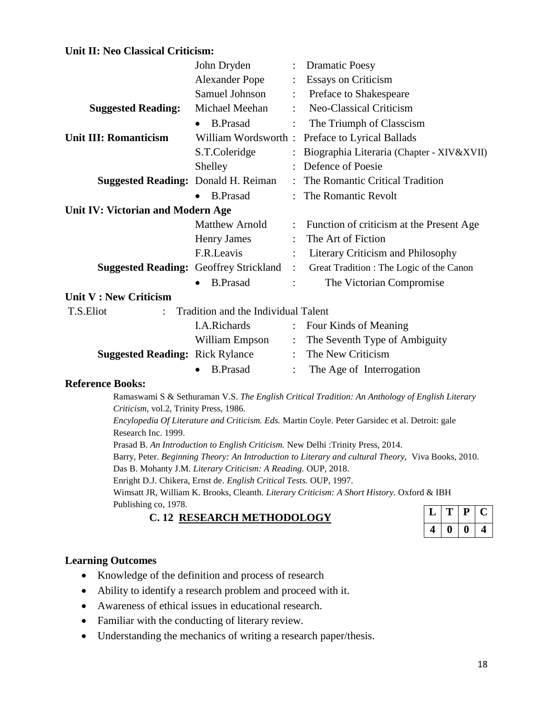#### **Unit II: Neo Classical Criticism:**

|                                               | John Dryden                         |                           | <b>Dramatic Poesy</b>                                                                          |
|-----------------------------------------------|-------------------------------------|---------------------------|------------------------------------------------------------------------------------------------|
|                                               | <b>Alexander Pope</b>               |                           | <b>Essays on Criticism</b>                                                                     |
|                                               | <b>Samuel Johnson</b>               |                           | Preface to Shakespeare                                                                         |
| <b>Suggested Reading:</b>                     | Michael Meehan                      |                           | Neo-Classical Criticism                                                                        |
|                                               | <b>B.Prasad</b><br>$\bullet$        | $\ddot{\cdot}$            | The Triumph of Classcism                                                                       |
| <b>Unit III: Romanticism</b>                  | William Wordsworth:                 |                           | Preface to Lyrical Ballads                                                                     |
|                                               | S.T.Coleridge                       |                           | Biographia Literaria (Chapter - XIV&XVII)                                                      |
|                                               | Shelley                             |                           | Defence of Poesie                                                                              |
| <b>Suggested Reading: Donald H. Reiman</b>    |                                     |                           | The Romantic Critical Tradition                                                                |
|                                               | <b>B.Prasad</b>                     | $\mathbb{R}^{\mathbb{Z}}$ | The Romantic Revolt                                                                            |
| Unit IV: Victorian and Modern Age             |                                     |                           |                                                                                                |
|                                               | <b>Matthew Arnold</b>               | $\ddot{\cdot}$            | Function of criticism at the Present Age                                                       |
|                                               | <b>Henry James</b>                  |                           | The Art of Fiction                                                                             |
|                                               | F.R.Leavis                          | $\ddot{\cdot}$            | Literary Criticism and Philosophy                                                              |
| <b>Suggested Reading: Geoffrey Strickland</b> |                                     | $\ddot{\cdot}$            | Great Tradition : The Logic of the Canon                                                       |
|                                               | <b>B.Prasad</b>                     | $\ddot{\cdot}$            | The Victorian Compromise                                                                       |
| Unit V : New Criticism                        |                                     |                           |                                                                                                |
| T.S.Eliot                                     | Tradition and the Individual Talent |                           |                                                                                                |
|                                               | <b>I.A.Richards</b>                 | :                         | Four Kinds of Meaning                                                                          |
|                                               | William Empson                      |                           | : The Seventh Type of Ambiguity                                                                |
| <b>Suggested Reading: Rick Rylance</b>        |                                     |                           | : The New Criticism                                                                            |
|                                               | <b>B.Prasad</b>                     | $\ddot{\cdot}$            | The Age of Interrogation                                                                       |
| <b>Reference Books:</b>                       |                                     |                           |                                                                                                |
|                                               |                                     |                           | Ramaswami S & Sethuraman V.S. The English Critical Tradition: An Anthology of English Literary |

*Criticism,* vol.2, Trinity Press, 1986. *Encylopedia Of Literature and Criticism. Eds.* Martin Coyle. Peter Garsidec et al. Detroit: gale Research Inc. 1999.

Prasad B. *An Introduction to English Criticism.* New Delhi :Trinity Press, 2014.

Barry, Peter. *Beginning Theory: An Introduction to Literary and cultural Theory,* Viva Books, 2010.

Das B. Mohanty J.M. *Literary Criticism: A Reading.* OUP, 2018.

Enright D.J. Chikera, Ernst de. *English Critical Tests.* OUP, 1997.

Wimsatt JR, William K. Brooks, Cleanth. *Literary Criticism: A Short History.* Oxford & IBH Publishing co, 1978.

**C. 12 RESEARCH METHODOLOGY**

|   |   | Р  | L |
|---|---|----|---|
| 4 | 0 | I) | 4 |

#### **Learning Outcomes**

- Knowledge of the definition and process of research
- Ability to identify a research problem and proceed with it.
- Awareness of ethical issues in educational research.
- Familiar with the conducting of literary review.
- Understanding the mechanics of writing a research paper/thesis.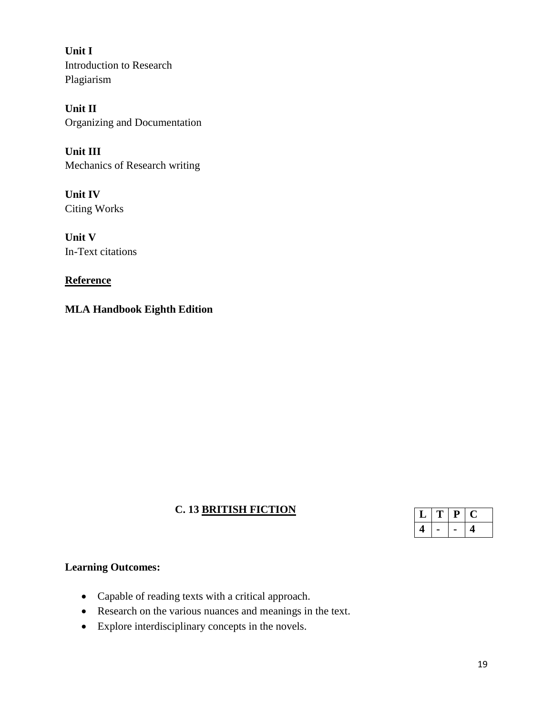**Unit I**  Introduction to Research Plagiarism

**Unit II** Organizing and Documentation

**Unit III** Mechanics of Research writing

**Unit IV** Citing Works

**Unit V** In-Text citations

**Reference**

**MLA Handbook Eighth Edition**

## **C. 13 BRITISH FICTION**

|  | υ |  |
|--|---|--|
|  |   |  |

## **Learning Outcomes:**

- Capable of reading texts with a critical approach.
- Research on the various nuances and meanings in the text.
- Explore interdisciplinary concepts in the novels.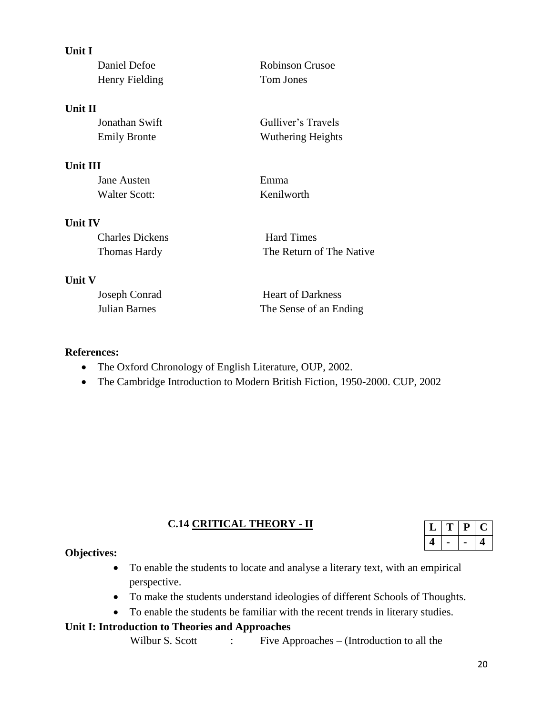| Unit I                 |                          |
|------------------------|--------------------------|
| Daniel Defoe           | <b>Robinson Crusoe</b>   |
| Henry Fielding         | Tom Jones                |
| <b>Unit II</b>         |                          |
| Jonathan Swift         | Gulliver's Travels       |
| <b>Emily Bronte</b>    | <b>Wuthering Heights</b> |
| Unit III               |                          |
| Jane Austen            | Emma                     |
| <b>Walter Scott:</b>   | Kenilworth               |
| <b>Unit IV</b>         |                          |
| <b>Charles Dickens</b> | <b>Hard Times</b>        |
| Thomas Hardy           | The Return of The Native |
| <b>Unit V</b>          |                          |

| Joseph Conrad | <b>Heart of Darkness</b> |
|---------------|--------------------------|
| Julian Barnes | The Sense of an Ending   |

#### **References:**

- The Oxford Chronology of English Literature, OUP, 2002.
- The Cambridge Introduction to Modern British Fiction, 1950-2000. CUP, 2002

## **C.14 CRITICAL THEORY - II**

|  | L. |   |
|--|----|---|
|  |    | 4 |

## **Objectives:**

- To enable the students to locate and analyse a literary text, with an empirical perspective.
- To make the students understand ideologies of different Schools of Thoughts.
- To enable the students be familiar with the recent trends in literary studies.

### **Unit I: Introduction to Theories and Approaches**

Wilbur S. Scott : Five Approaches – (Introduction to all the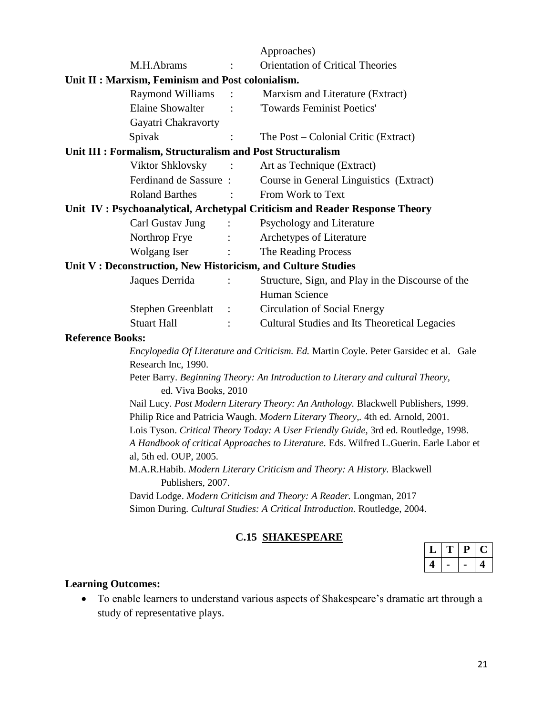|                                                              |                      | Approaches)                                                                                                                                                                                                                                                                                                                                                                                                                                                                                                                                                                      |
|--------------------------------------------------------------|----------------------|----------------------------------------------------------------------------------------------------------------------------------------------------------------------------------------------------------------------------------------------------------------------------------------------------------------------------------------------------------------------------------------------------------------------------------------------------------------------------------------------------------------------------------------------------------------------------------|
| M.H.Abrams                                                   |                      | <b>Orientation of Critical Theories</b>                                                                                                                                                                                                                                                                                                                                                                                                                                                                                                                                          |
| Unit II : Marxism, Feminism and Post colonialism.            |                      |                                                                                                                                                                                                                                                                                                                                                                                                                                                                                                                                                                                  |
| <b>Raymond Williams</b>                                      |                      | Marxism and Literature (Extract)                                                                                                                                                                                                                                                                                                                                                                                                                                                                                                                                                 |
| <b>Elaine Showalter</b>                                      |                      | 'Towards Feminist Poetics'                                                                                                                                                                                                                                                                                                                                                                                                                                                                                                                                                       |
| Gayatri Chakravorty                                          |                      |                                                                                                                                                                                                                                                                                                                                                                                                                                                                                                                                                                                  |
| Spivak                                                       |                      | The Post – Colonial Critic (Extract)                                                                                                                                                                                                                                                                                                                                                                                                                                                                                                                                             |
| Unit III : Formalism, Structuralism and Post Structuralism   |                      |                                                                                                                                                                                                                                                                                                                                                                                                                                                                                                                                                                                  |
| Viktor Shklovsky                                             |                      | Art as Technique (Extract)                                                                                                                                                                                                                                                                                                                                                                                                                                                                                                                                                       |
| Ferdinand de Sassure :                                       |                      | Course in General Linguistics (Extract)                                                                                                                                                                                                                                                                                                                                                                                                                                                                                                                                          |
| <b>Roland Barthes</b>                                        |                      | From Work to Text                                                                                                                                                                                                                                                                                                                                                                                                                                                                                                                                                                |
|                                                              |                      | Unit IV: Psychoanalytical, Archetypal Criticism and Reader Response Theory                                                                                                                                                                                                                                                                                                                                                                                                                                                                                                       |
| Carl Gustav Jung                                             |                      | Psychology and Literature                                                                                                                                                                                                                                                                                                                                                                                                                                                                                                                                                        |
| Northrop Frye                                                |                      | Archetypes of Literature                                                                                                                                                                                                                                                                                                                                                                                                                                                                                                                                                         |
| Wolgang Iser                                                 |                      | The Reading Process                                                                                                                                                                                                                                                                                                                                                                                                                                                                                                                                                              |
| Unit V: Deconstruction, New Historicism, and Culture Studies |                      |                                                                                                                                                                                                                                                                                                                                                                                                                                                                                                                                                                                  |
| Jaques Derrida                                               | $\ddot{\phantom{a}}$ | Structure, Sign, and Play in the Discourse of the                                                                                                                                                                                                                                                                                                                                                                                                                                                                                                                                |
|                                                              |                      | Human Science                                                                                                                                                                                                                                                                                                                                                                                                                                                                                                                                                                    |
| <b>Stephen Greenblatt</b>                                    | $\sim$ :             | <b>Circulation of Social Energy</b>                                                                                                                                                                                                                                                                                                                                                                                                                                                                                                                                              |
| <b>Stuart Hall</b>                                           |                      | <b>Cultural Studies and Its Theoretical Legacies</b>                                                                                                                                                                                                                                                                                                                                                                                                                                                                                                                             |
| <b>Reference Books:</b>                                      |                      |                                                                                                                                                                                                                                                                                                                                                                                                                                                                                                                                                                                  |
| Research Inc, 1990.                                          |                      | Encylopedia Of Literature and Criticism. Ed. Martin Coyle. Peter Garsidec et al. Gale                                                                                                                                                                                                                                                                                                                                                                                                                                                                                            |
| ed. Viva Books, 2010                                         |                      | Peter Barry. Beginning Theory: An Introduction to Literary and cultural Theory,                                                                                                                                                                                                                                                                                                                                                                                                                                                                                                  |
| al, 5th ed. OUP, 2005.<br>Publishers, 2007.                  |                      | Nail Lucy. Post Modern Literary Theory: An Anthology. Blackwell Publishers, 1999.<br>Philip Rice and Patricia Waugh. Modern Literary Theory,. 4th ed. Arnold, 2001.<br>Lois Tyson. Critical Theory Today: A User Friendly Guide, 3rd ed. Routledge, 1998.<br>A Handbook of critical Approaches to Literature. Eds. Wilfred L.Guerin. Earle Labor et<br>M.A.R.Habib. Modern Literary Criticism and Theory: A History. Blackwell<br>David Lodge. Modern Criticism and Theory: A Reader. Longman, 2017<br>Simon During. Cultural Studies: A Critical Introduction. Routledge, 2004. |

## **C.15 SHAKESPEARE**

|  | ى |  |
|--|---|--|
|  |   |  |

## **Learning Outcomes:**

 To enable learners to understand various aspects of Shakespeare's dramatic art through a study of representative plays.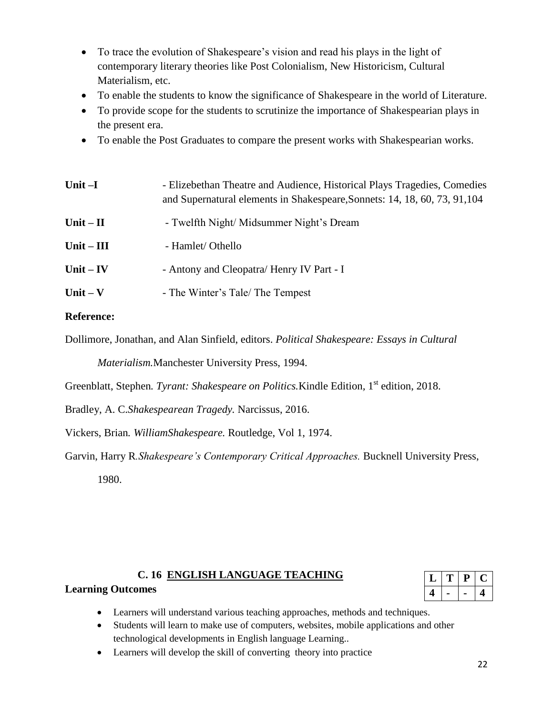- To trace the evolution of Shakespeare's vision and read his plays in the light of contemporary literary theories like Post Colonialism, New Historicism, Cultural Materialism, etc.
- To enable the students to know the significance of Shakespeare in the world of Literature.
- To provide scope for the students to scrutinize the importance of Shakespearian plays in the present era.
- To enable the Post Graduates to compare the present works with Shakespearian works.

| Unit-I       | - Elizebethan Theatre and Audience, Historical Plays Tragedies, Comedies<br>and Supernatural elements in Shakespeare, Sonnets: 14, 18, 60, 73, 91, 104 |  |
|--------------|--------------------------------------------------------------------------------------------------------------------------------------------------------|--|
| Unit $-II$   | - Twelfth Night/ Midsummer Night's Dream                                                                                                               |  |
| $Unit - III$ | - Hamlet/ Othello                                                                                                                                      |  |
| Unit $-$ IV  | - Antony and Cleopatra/ Henry IV Part - I                                                                                                              |  |
| Unit $-$ V   | - The Winter's Tale/ The Tempest                                                                                                                       |  |

#### **Reference:**

Dollimore, Jonathan, and Alan Sinfield, editors. *Political Shakespeare: Essays in Cultural* 

*Materialism.*Manchester University Press, 1994.

Greenblatt, Stephen*. Tyrant: Shakespeare on Politics.*Kindle Edition*,* 1 st edition, 2018.

Bradley, A. C.*Shakespearean Tragedy.* Narcissus, 2016.

Vickers, Brian*. WilliamShakespeare.* Routledge, Vol 1, 1974.

Garvin, Harry R*.Shakespeare's Contemporary Critical Approaches.* Bucknell University Press, 1980.

### **C. 16 ENGLISH LANGUAGE TEACHING**

|  | ı |  |
|--|---|--|
|  |   |  |

### **Learning Outcomes**

- Learners will understand various teaching approaches, methods and techniques.
- Students will learn to make use of computers, websites, mobile applications and other technological developments in English language Learning..
- Learners will develop the skill of converting theory into practice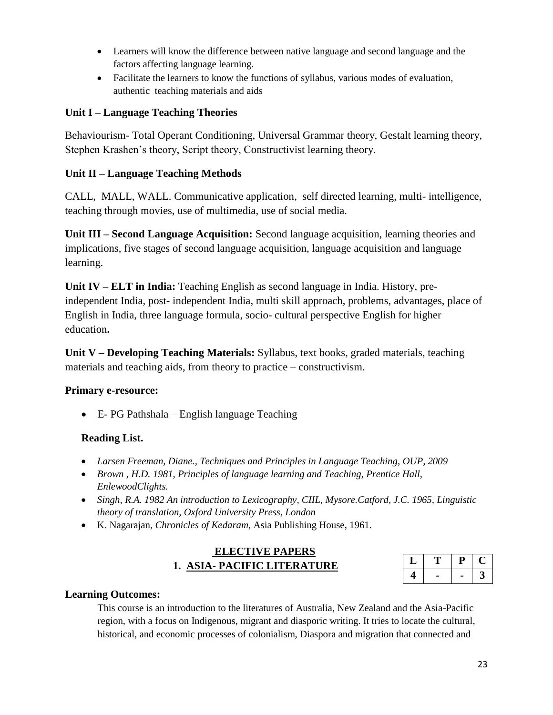- Learners will know the difference between native language and second language and the factors affecting language learning.
- Facilitate the learners to know the functions of syllabus, various modes of evaluation, authentic teaching materials and aids

### **Unit I – Language Teaching Theories**

Behaviourism- Total Operant Conditioning, Universal Grammar theory, Gestalt learning theory, Stephen Krashen's theory, Script theory, Constructivist learning theory.

### **Unit II – Language Teaching Methods**

CALL, MALL, WALL. Communicative application, self directed learning, multi- intelligence, teaching through movies, use of multimedia, use of social media.

**Unit III – Second Language Acquisition:** Second language acquisition, learning theories and implications, five stages of second language acquisition, language acquisition and language learning.

**Unit IV – ELT in India:** Teaching English as second language in India. History, preindependent India, post- independent India, multi skill approach, problems, advantages, place of English in India, three language formula, socio- cultural perspective English for higher education**.**

**Unit V – Developing Teaching Materials:** Syllabus, text books, graded materials, teaching materials and teaching aids, from theory to practice – constructivism.

### **Primary e-resource:**

E- PG Pathshala – English language Teaching

### **Reading List.**

- *Larsen Freeman, Diane., Techniques and Principles in Language Teaching, OUP, 2009*
- *Brown , H.D. 1981, Principles of language learning and Teaching, Prentice Hall, EnlewoodClights.*
- *Singh, R.A. 1982 An introduction to Lexicography, CIIL, Mysore.Catford, J.C. 1965, Linguistic theory of translation, Oxford University Press, London*
- K. Nagarajan, *Chronicles of Kedaram,* Asia Publishing House, 1961.

## **ELECTIVE PAPERS 1. ASIA- PACIFIC LITERATURE**

| ↵ |  |  |
|---|--|--|
|   |  |  |

### **Learning Outcomes:**

This course is an introduction to the literatures of Australia, New Zealand and the Asia-Pacific region, with a focus on Indigenous, migrant and diasporic writing. It tries to locate the cultural, historical, and economic processes of colonialism, Diaspora and migration that connected and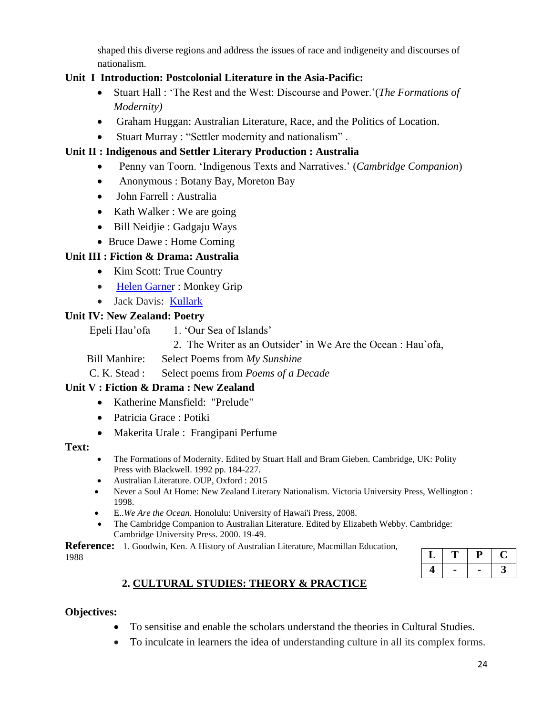shaped this diverse regions and address the issues of race and indigeneity and discourses of nationalism.

## **Unit I Introduction: Postcolonial Literature in the Asia-Pacific:**

- Stuart Hall : 'The Rest and the West: Discourse and Power.'(*The Formations of Modernity)*
- Graham Huggan: Australian Literature, Race, and the Politics of Location.
- Stuart Murray : "Settler modernity and nationalism" .

## **Unit II : Indigenous and Settler Literary Production : Australia**

- Penny van Toorn. 'Indigenous Texts and Narratives.' (*Cambridge Companion*)
- Anonymous : Botany Bay, Moreton Bay
- John Farrell : Australia
- Kath Walker : We are going
- Bill Neidjie : Gadgaju Ways
- Bruce Dawe : Home Coming

## **Unit III : Fiction & Drama: Australia**

- Kim Scott: True Country
- Helen Garner : Monkey Grip
- Jack Davis: Kullark

## **Unit IV: New Zealand: Poetry**

Epeli Hau'ofa 1. 'Our Sea of Islands'

2. The Writer as an Outsider' in We Are the Ocean : Hau`ofa,

Bill Manhire: Select Poems from *My Sunshine*

C. K. Stead : Select poems from *Poems of a Decade*

## **Unit V : Fiction & Drama : New Zealand**

- Katherine Mansfield: "Prelude"
- Patricia Grace : Potiki
- Makerita Urale : Frangipani Perfume

### **Text:**

- The Formations of Modernity. Edited by Stuart Hall and Bram Gieben. Cambridge, UK: Polity Press with Blackwell. 1992 pp. 184-227.
- Australian Literature. OUP, Oxford : 2015
- Never a Soul At Home: New Zealand Literary Nationalism. Victoria University Press, Wellington : 1998.
- E..*We Are the Ocean.* Honolulu: University of Hawai'i Press, 2008.
- The Cambridge Companion to Australian Literature. Edited by Elizabeth Webby. Cambridge: Cambridge University Press. 2000. 19-49.

**Reference:** 1. Goodwin, Ken. A History of Australian Literature, Macmillan Education, 1988

| پ | ш |  |
|---|---|--|
|   |   |  |

## **2. CULTURAL STUDIES: THEORY & PRACTICE**

### **Objectives:**

- To sensitise and enable the scholars understand the theories in Cultural Studies.
- To inculcate in learners the idea of understanding culture in all its complex forms.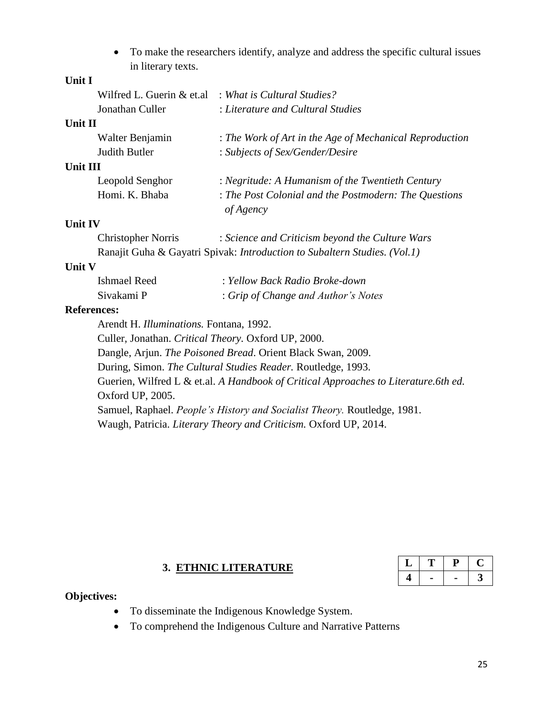To make the researchers identify, analyze and address the specific cultural issues in literary texts.

### **Unit I**

|                                                                                     | Wilfred L. Guerin & et.al : What is Cultural Studies?              |
|-------------------------------------------------------------------------------------|--------------------------------------------------------------------|
| Jonathan Culler                                                                     | : Literature and Cultural Studies                                  |
| Unit II                                                                             |                                                                    |
| Walter Benjamin                                                                     | : The Work of Art in the Age of Mechanical Reproduction            |
| Judith Butler                                                                       | : Subjects of Sex/Gender/Desire                                    |
| <b>Unit III</b>                                                                     |                                                                    |
| Leopold Senghor                                                                     | : Negritude: A Humanism of the Twentieth Century                   |
| Homi. K. Bhaba                                                                      | : The Post Colonial and the Postmodern: The Questions<br>of Agency |
| <b>Unit IV</b>                                                                      |                                                                    |
| $\bigcap \mathbf{1}$ $\bigcup \mathbf{1}$ $\bigcap \mathbf{1}$ $\bigcap \mathbf{1}$ | $1 \cap \cdots 1$ $1 \cap \cdots 1$                                |

| Christopher Norris | : Science and Criticism beyond the Culture Wars                           |
|--------------------|---------------------------------------------------------------------------|
|                    | Ranajit Guha & Gayatri Spivak: Introduction to Subaltern Studies. (Vol.1) |

#### **Unit V**

| Ishmael Reed | : Yellow Back Radio Broke-down      |
|--------------|-------------------------------------|
| Sivakami P   | : Grip of Change and Author's Notes |

#### **References:**

Arendt H. *Illuminations.* Fontana, 1992.

Culler, Jonathan. *Critical Theory.* Oxford UP*,* 2000.

Dangle, Arjun. *The Poisoned Bread*. Orient Black Swan, 2009.

During, Simon. *The Cultural Studies Reader.* Routledge, 1993.

Guerien, Wilfred L & et.al. *A Handbook of Critical Approaches to Literature.6th ed.*  Oxford UP, 2005.

Samuel, Raphael. *People's History and Socialist Theory.* Routledge, 1981.

Waugh, Patricia. *Literary Theory and Criticism.* Oxford UP, 2014.

#### **3. ETHNIC LITERATURE**

#### **Objectives:**

- To disseminate the Indigenous Knowledge System.
- To comprehend the Indigenous Culture and Narrative Patterns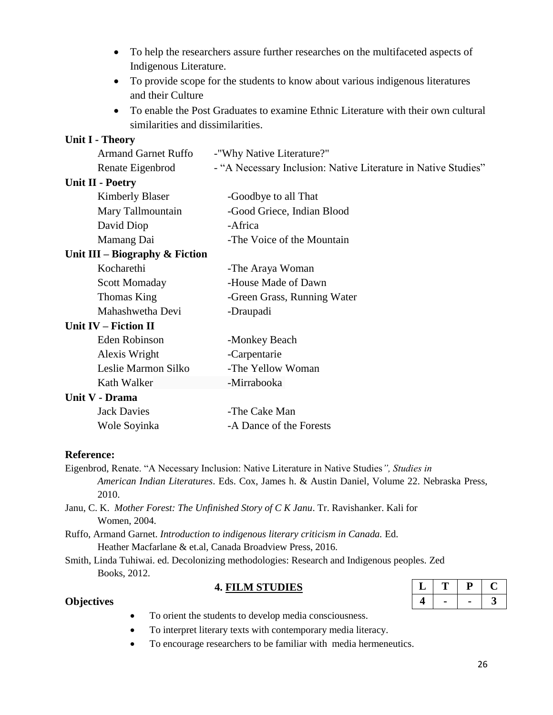- To help the researchers assure further researches on the multifaceted aspects of Indigenous Literature.
- To provide scope for the students to know about various indigenous literatures and their Culture
- To enable the Post Graduates to examine Ethnic Literature with their own cultural similarities and dissimilarities.

#### **Unit I - Theory**

| <b>Armand Garnet Ruffo</b>        | -"Why Native Literature?"                                      |
|-----------------------------------|----------------------------------------------------------------|
| Renate Eigenbrod                  | - "A Necessary Inclusion: Native Literature in Native Studies" |
| <b>Unit II - Poetry</b>           |                                                                |
| <b>Kimberly Blaser</b>            | -Goodbye to all That                                           |
| Mary Tallmountain                 | -Good Griece, Indian Blood                                     |
| David Diop                        | -Africa                                                        |
| Mamang Dai                        | -The Voice of the Mountain                                     |
| Unit III – Biography $\&$ Fiction |                                                                |
| Kocharethi                        | -The Araya Woman                                               |
| <b>Scott Momaday</b>              | -House Made of Dawn                                            |
| Thomas King                       | -Green Grass, Running Water                                    |
| Mahashwetha Devi                  | -Draupadi                                                      |
| <b>Unit IV – Fiction II</b>       |                                                                |
| Eden Robinson                     | -Monkey Beach                                                  |
| Alexis Wright                     | -Carpentarie                                                   |
| Leslie Marmon Silko               | -The Yellow Woman                                              |
| Kath Walker                       | -Mirrabooka                                                    |
| Unit V - Drama                    |                                                                |
| <b>Jack Davies</b>                | -The Cake Man                                                  |
| Wole Soyinka                      | -A Dance of the Forests                                        |
|                                   |                                                                |

#### **Reference:**

Eigenbrod, Renate. "A Necessary Inclusion: Native Literature in Native Studies*", Studies in American Indian Literatures*. Eds. Cox, James h. & Austin Daniel, Volume 22. Nebraska Press, 2010.

Janu, C. K. *Mother Forest: The Unfinished Story of C K Janu*. Tr. Ravishanker. Kali for Women, 2004.

Ruffo, Armand Garnet. *Introduction to indigenous literary criticism in Canada.* Ed. Heather Macfarlane & et.al, Canada Broadview Press, 2016.

Smith, Linda Tuhiwai. ed. Decolonizing methodologies: Research and Indigenous peoples. Zed Books, 2012.

#### **4. FILM STUDIES**

| a. |  |  |
|----|--|--|
|    |  |  |

#### **Objectives**

- To orient the students to develop media consciousness.
- To interpret literary texts with contemporary media literacy.
- To encourage researchers to be familiar with media hermeneutics.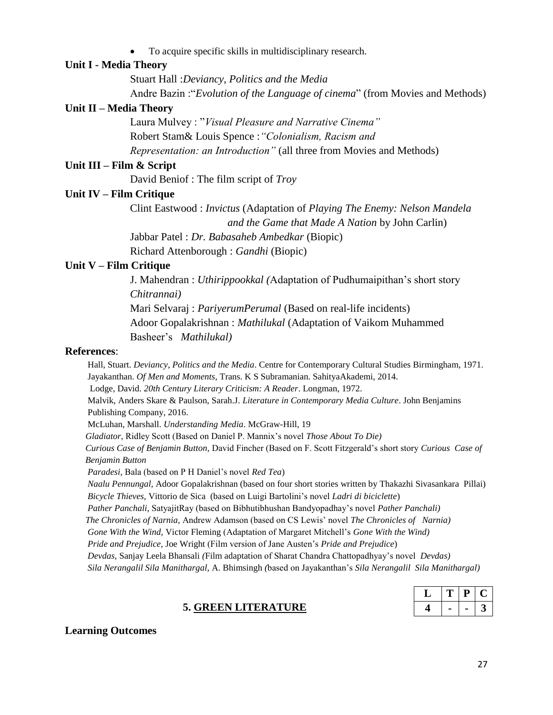To acquire specific skills in multidisciplinary research.

#### **Unit I - Media Theory**

Stuart Hall :*Deviancy, Politics and the Media*

Andre Bazin :"*Evolution of the Language of cinema*" (from Movies and Methods)

#### **Unit II – Media Theory**

Laura Mulvey : "*Visual Pleasure and Narrative Cinema"* Robert Stam& Louis Spence :*"Colonialism, Racism and Representation: an Introduction"* (all three from Movies and Methods)

#### **Unit III – Film & Script**

David Beniof : The film script of *Troy*

#### **Unit IV – Film Critique**

Clint Eastwood : *Invictus* (Adaptation of *Playing The Enemy: Nelson Mandela and the Game that Made A Nation* by John Carlin)

Jabbar Patel : *Dr. Babasaheb Ambedkar* (Biopic)

Richard Attenborough : *Gandhi* (Biopic)

#### **Unit V – Film Critique**

J. Mahendran : *Uthirippookkal (*Adaptation of Pudhumaipithan's short story *Chitrannai)* Mari Selvaraj : *PariyerumPerumal* (Based on real-life incidents) Adoor Gopalakrishnan : *Mathilukal* (Adaptation of Vaikom Muhammed Basheer's *Mathilukal)*

#### **References**:

 Hall, Stuart. *Deviancy, Politics and the Media*. Centre for Contemporary Cultural Studies Birmingham, 1971. Jayakanthan. *Of Men and Moments*, Trans. K S Subramanian. SahityaAkademi, 2014. Lodge, David. *20th Century Literary Criticism: A Reader*. Longman, 1972. Malvik, Anders Skare & Paulson, Sarah.J. *Literature in Contemporary Media Culture*. John Benjamins Publishing Company, 2016. McLuhan, Marshall. *Understanding Media*. McGraw-Hill, 19  *Gladiator*, Ridley Scott (Based on Daniel P. Mannix's novel *Those About To Die) Curious Case of Benjamin Button,* David Fincher (Based on F. Scott Fitzgerald's short story *Curious Case of Benjamin Button Paradesi,* Bala (based on P H Daniel's novel *Red Tea*)  *Naalu Pennungal,* Adoor Gopalakrishnan (based on four short stories written by Thakazhi Sivasankara Pillai)  *Bicycle Thieves,* Vittorio de Sica (based on Luigi Bartolini's novel *Ladri di biciclette*)  *Pather Panchali,* SatyajitRay (based on Bibhutibhushan Bandyopadhay's novel *Pather Panchali) The Chronicles of Narnia,* Andrew Adamson (based on CS Lewis' novel *The Chronicles of Narnia) Gone With the Wind,* Victor Fleming (Adaptation of Margaret Mitchell's *Gone With the Wind) Pride and Prejudice,* Joe Wright (Film version of Jane Austen's *Pride and Prejudice*)  *Devdas,* Sanjay Leela Bhansali *(*Film adaptation of Sharat Chandra Chattopadhyay's novel *Devdas) Sila Nerangalil Sila Manithargal,* A. Bhimsingh *(*based on Jayakanthan's *Sila Nerangalil Sila Manithargal)*

|  | D |  |
|--|---|--|
|  |   |  |

#### **5. GREEN LITERATURE**

#### **Learning Outcomes**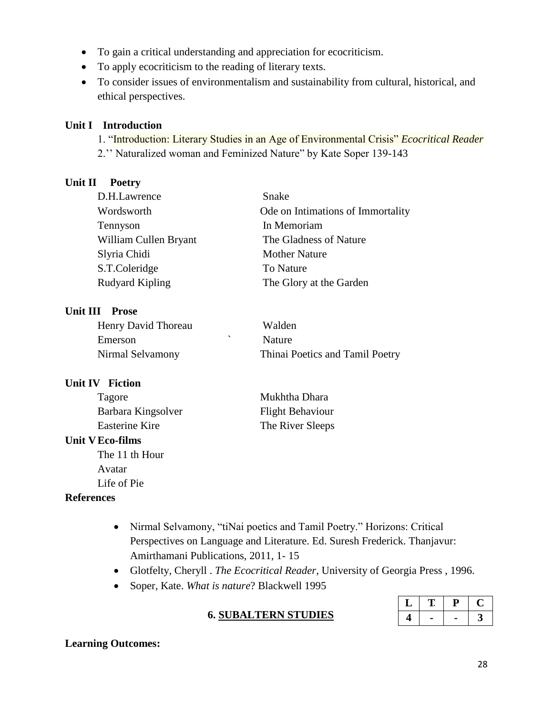- To gain a critical understanding and appreciation for ecocriticism.
- To apply ecocriticism to the reading of literary texts.
- To consider issues of environmentalism and sustainability from cultural, historical, and ethical perspectives.

#### **Unit I Introduction**

1. "Introduction: Literary Studies in an Age of Environmental Crisis" *Ecocritical Reader*

2.'' Naturalized woman and Feminized Nature" by Kate Soper 139-143

#### **Unit II Poetry**

| D.H.Lawrence          | Snake                             |
|-----------------------|-----------------------------------|
| Wordsworth            | Ode on Intimations of Immortality |
| Tennyson              | In Memoriam                       |
| William Cullen Bryant | The Gladness of Nature            |
| Slyria Chidi          | <b>Mother Nature</b>              |
| S.T.Coleridge         | To Nature                         |
| Rudyard Kipling       | The Glory at the Garden           |

### **Unit III Prose**

| Henry David Thoreau | Walden                          |
|---------------------|---------------------------------|
| Emerson             | <b>Nature</b>                   |
| Nirmal Selvamony    | Thinai Poetics and Tamil Poetry |

## **Unit IV Fiction**

| Tagore                | Mukhtha Dhara           |
|-----------------------|-------------------------|
| Barbara Kingsolver    | <b>Flight Behaviour</b> |
| <b>Easterine Kire</b> | The River Sleeps        |

### **Unit VEco-films**

The 11 th Hour Avatar Life of Pie

### **References**

- Nirmal Selvamony, "tiNai poetics and Tamil Poetry." Horizons: Critical Perspectives on Language and Literature. Ed. Suresh Frederick. Thanjavur: Amirthamani Publications, 2011, 1- 15
- Glotfelty, Cheryll . *The Ecocritical Reader*, University of Georgia Press , 1996.
- Soper, Kate. *What is nature*? Blackwell 1995

| u. | п<br>г |  |
|----|--------|--|
|    |        |  |

## **6. SUBALTERN STUDIES**

### **Learning Outcomes:**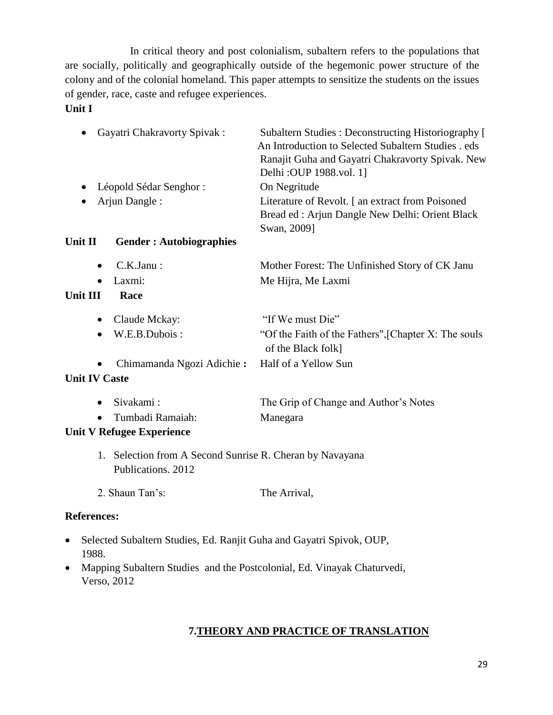In critical theory and post colonialism, subaltern refers to the populations that are socially, politically and geographically outside of the hegemonic power structure of the colony and of the colonial homeland. This paper attempts to sensitize the students on the issues of gender, race, caste and refugee experiences.

**Unit I**

| <b>Gayatri Chakravorty Spivak:</b>                                             | Subaltern Studies: Deconstructing Historiography [<br>An Introduction to Selected Subaltern Studies . eds<br>Ranajit Guha and Gayatri Chakravorty Spivak. New<br>Delhi: OUP 1988.vol. 1] |
|--------------------------------------------------------------------------------|------------------------------------------------------------------------------------------------------------------------------------------------------------------------------------------|
| Léopold Sédar Senghor :                                                        | On Negritude                                                                                                                                                                             |
| Arjun Dangle:                                                                  | Literature of Revolt. [an extract from Poisoned<br>Bread ed: Arjun Dangle New Delhi: Orient Black<br>Swan, 2009]                                                                         |
| <b>Unit II</b><br><b>Gender: Autobiographies</b>                               |                                                                                                                                                                                          |
| C.K.Janu:<br>$\bullet$                                                         | Mother Forest: The Unfinished Story of CK Janu                                                                                                                                           |
| Laxmi:                                                                         | Me Hijra, Me Laxmi                                                                                                                                                                       |
| <b>Unit III</b><br>Race                                                        |                                                                                                                                                                                          |
| Claude Mckay:                                                                  | "If We must Die"                                                                                                                                                                         |
| W.E.B.Dubois:                                                                  | "Of the Faith of the Fathers", [Chapter X: The souls<br>of the Black folk]                                                                                                               |
| Chimamanda Ngozi Adichie:                                                      | Half of a Yellow Sun                                                                                                                                                                     |
| <b>Unit IV Caste</b>                                                           |                                                                                                                                                                                          |
| Sivakami:<br>$\bullet$                                                         | The Grip of Change and Author's Notes                                                                                                                                                    |
| Tumbadi Ramaiah:                                                               | Manegara                                                                                                                                                                                 |
| <b>Unit V Refugee Experience</b>                                               |                                                                                                                                                                                          |
| 1. Selection from A Second Sunrise R. Cheran by Navayana<br>Publications. 2012 |                                                                                                                                                                                          |
| 2. Shaun Tan's:                                                                | The Arrival,                                                                                                                                                                             |
| <b>References:</b>                                                             |                                                                                                                                                                                          |

- Selected Subaltern Studies, Ed. Ranjit Guha and Gayatri Spivok, OUP, 1988.
- Mapping Subaltern Studies and the Postcolonial, Ed. Vinayak Chaturvedi, Verso, 2012

## **7.THEORY AND PRACTICE OF TRANSLATION**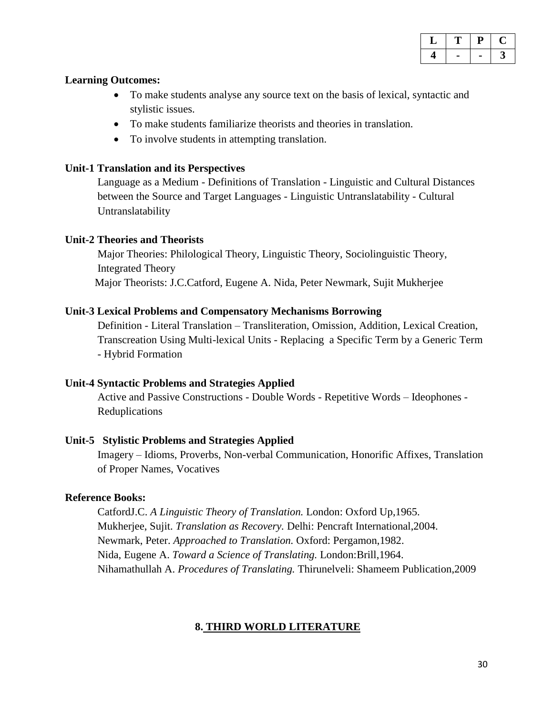| .,<br>ــ |  |  |
|----------|--|--|
|          |  |  |

#### **Learning Outcomes:**

- To make students analyse any source text on the basis of lexical, syntactic and stylistic issues.
- To make students familiarize theorists and theories in translation.
- To involve students in attempting translation.

#### **Unit-1 Translation and its Perspectives**

Language as a Medium - Definitions of Translation - Linguistic and Cultural Distances between the Source and Target Languages - Linguistic Untranslatability - Cultural Untranslatability

#### **Unit-2 Theories and Theorists**

Major Theories: Philological Theory, Linguistic Theory, Sociolinguistic Theory, Integrated Theory Major Theorists: J.C.Catford, Eugene A. Nida, Peter Newmark, Sujit Mukherjee

#### **Unit-3 Lexical Problems and Compensatory Mechanisms Borrowing**

Definition - Literal Translation – Transliteration, Omission, Addition, Lexical Creation, Transcreation Using Multi-lexical Units - Replacing a Specific Term by a Generic Term - Hybrid Formation

### **Unit-4 Syntactic Problems and Strategies Applied**

Active and Passive Constructions - Double Words - Repetitive Words – Ideophones - Reduplications

### **Unit-5 Stylistic Problems and Strategies Applied**

Imagery – Idioms, Proverbs, Non-verbal Communication, Honorific Affixes, Translation of Proper Names, Vocatives

### **Reference Books:**

CatfordJ.C. *A Linguistic Theory of Translation.* London: Oxford Up,1965. Mukherjee, Sujit. *Translation as Recovery.* Delhi: Pencraft International,2004. Newmark, Peter. *Approached to Translation.* Oxford: Pergamon,1982. Nida, Eugene A. *Toward a Science of Translating.* London:Brill,1964. Nihamathullah A. *Procedures of Translating.* Thirunelveli: Shameem Publication,2009

### **8. THIRD WORLD LITERATURE**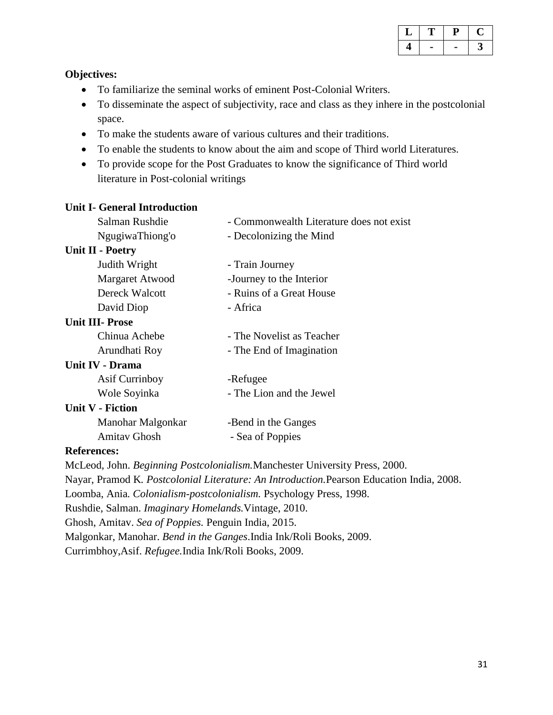| u |  |  |
|---|--|--|
|   |  |  |

#### **Objectives:**

- To familiarize the seminal works of eminent Post-Colonial Writers.
- To disseminate the aspect of subjectivity, race and class as they inhere in the postcolonial space.
- To make the students aware of various cultures and their traditions.
- To enable the students to know about the aim and scope of Third world Literatures.
- To provide scope for the Post Graduates to know the significance of Third world literature in Post-colonial writings

## **Unit I- General Introduction** Salman Rushdie - Commonwealth Literature does not exist [NgugiwaThiong'o -](https://ngugiwathiongo.com/about/) Decolonizing the Mind **Unit II - Poetry**  Judith Wright - Train Journey Margaret Atwood -Journey to the Interior Dereck Walcott - Ruins of a Great House David Diop - Africa **Unit III- Prose**  Chinua Achebe - The Novelist as Teacher Arundhati Roy **- The End of Imagination Unit IV - Drama**  Asif Currinboy - Refugee Wole Soyinka - The Lion and the Jewel **Unit V - Fiction**  Manohar Malgonkar -Bend in the Ganges Amitav Ghosh - Sea of Poppies

#### **References:**

McLeod, John. *Beginning Postcolonialism.*Manchester University Press, 2000. Nayar, Pramod K*. Postcolonial Literature: An Introduction.*Pearson Education India, 2008. Loomba, Ania*. Colonialism-postcolonialism.* Psychology Press, 1998. Rushdie, Salman. *Imaginary Homelands.*Vintage, 2010. Ghosh, Amitav. *Sea of Poppies.* Penguin India, 2015. Malgonkar, Manohar. *Bend in the Ganges*.India Ink/Roli Books, 2009. Currimbhoy,Asif. *Refugee.*India Ink/Roli Books, 2009.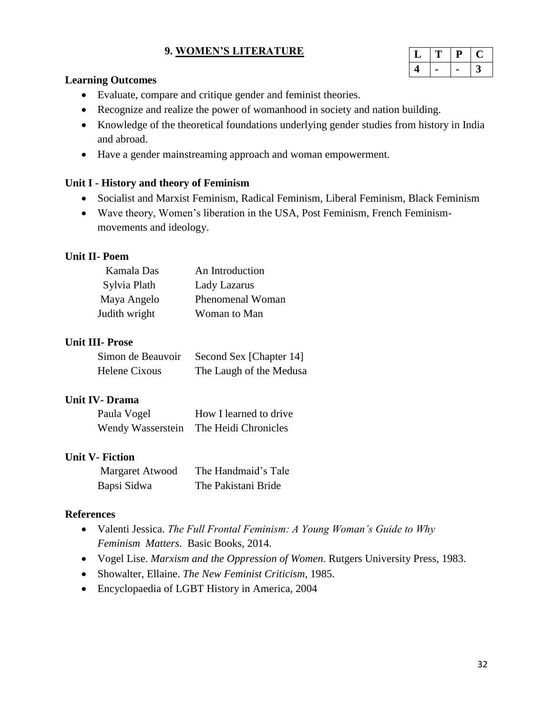### **9. WOMEN'S LITERATURE**

|  | Η, |  |
|--|----|--|
|  |    |  |

#### **Learning Outcomes**

- Evaluate, compare and critique gender and feminist theories.
- Recognize and realize the power of womanhood in society and nation building.
- Knowledge of the theoretical foundations underlying gender studies from history in India and abroad.
- Have a gender mainstreaming approach and woman empowerment.

#### **Unit I - History and theory of Feminism**

- Socialist and Marxist Feminism, Radical Feminism, Liberal Feminism, Black Feminism
- Wave theory, Women's liberation in the USA, Post Feminism, French Feminismmovements and ideology.

#### **Unit II- Poem**

| Kamala Das    | An Introduction  |
|---------------|------------------|
| Sylvia Plath  | Lady Lazarus     |
| Maya Angelo   | Phenomenal Woman |
| Judith wright | Woman to Man     |

#### **Unit III- Prose**

| Simon de Beauvoir | Second Sex [Chapter 14] |
|-------------------|-------------------------|
| Helene Cixous     | The Laugh of the Medusa |

#### **Unit IV- Drama**

| Paula Vogel       | How I learned to drive |
|-------------------|------------------------|
| Wendy Wasserstein | The Heidi Chronicles   |

#### **Unit V- Fiction**

| <b>Margaret Atwood</b> | The Handmaid's Tale |
|------------------------|---------------------|
| Bapsi Sidwa            | The Pakistani Bride |

#### **References**

- Valenti Jessica. *The Full Frontal Feminism: A Young Woman's Guide to Why Feminism Matters*. Basic Books, 2014.
- Vogel Lise. *Marxism and the Oppression of Women*. Rutgers University Press, 1983.
- Showalter, Ellaine. *The New Feminist Criticism*, 1985.
- Encyclopaedia of LGBT History in America, 2004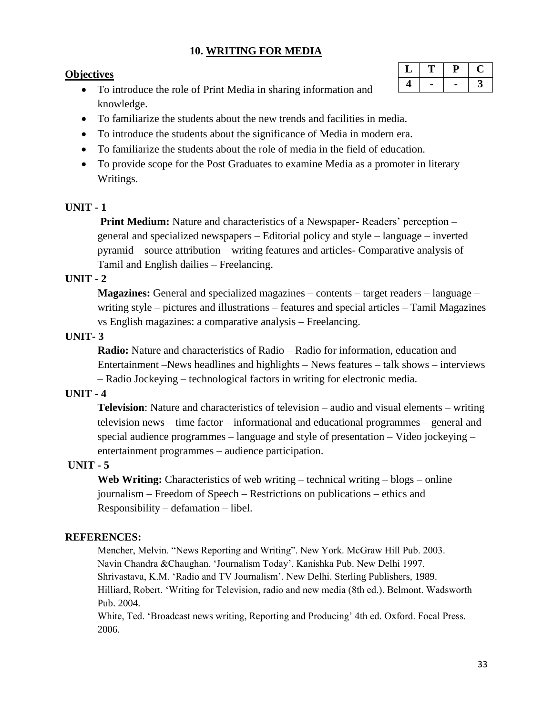### **10. WRITING FOR MEDIA**

#### **Objectives**

- To introduce the role of Print Media in sharing information and knowledge.
- To familiarize the students about the new trends and facilities in media.
- To introduce the students about the significance of Media in modern era.
- To familiarize the students about the role of media in the field of education.
- To provide scope for the Post Graduates to examine Media as a promoter in literary Writings.

#### **UNIT - 1**

**Print Medium:** Nature and characteristics of a Newspaper- Readers' perception – general and specialized newspapers – Editorial policy and style – language – inverted pyramid – source attribution – writing features and articles- Comparative analysis of Tamil and English dailies – Freelancing.

#### **UNIT - 2**

**Magazines:** General and specialized magazines – contents – target readers – language – writing style – pictures and illustrations – features and special articles – Tamil Magazines vs English magazines: a comparative analysis – Freelancing.

#### **UNIT- 3**

**Radio:** Nature and characteristics of Radio – Radio for information, education and Entertainment –News headlines and highlights – News features – talk shows – interviews – Radio Jockeying – technological factors in writing for electronic media.

#### **UNIT - 4**

**Television**: Nature and characteristics of television – audio and visual elements – writing television news – time factor – informational and educational programmes – general and special audience programmes – language and style of presentation – Video jockeying – entertainment programmes – audience participation.

#### **UNIT - 5**

**Web Writing:** Characteristics of web writing – technical writing – blogs – online journalism – Freedom of Speech – Restrictions on publications – ethics and Responsibility – defamation – libel.

#### **REFERENCES:**

Mencher, Melvin. "News Reporting and Writing". New York. McGraw Hill Pub. 2003. Navin Chandra &Chaughan. 'Journalism Today'. Kanishka Pub. New Delhi 1997. Shrivastava, K.M. 'Radio and TV Journalism'. New Delhi. Sterling Publishers, 1989. Hilliard, Robert. 'Writing for Television, radio and new media (8th ed.). Belmont. Wadsworth Pub. 2004.

White, Ted. 'Broadcast news writing, Reporting and Producing' 4th ed. Oxford. Focal Press. 2006.

| ⊷ | L |  |
|---|---|--|
|   |   |  |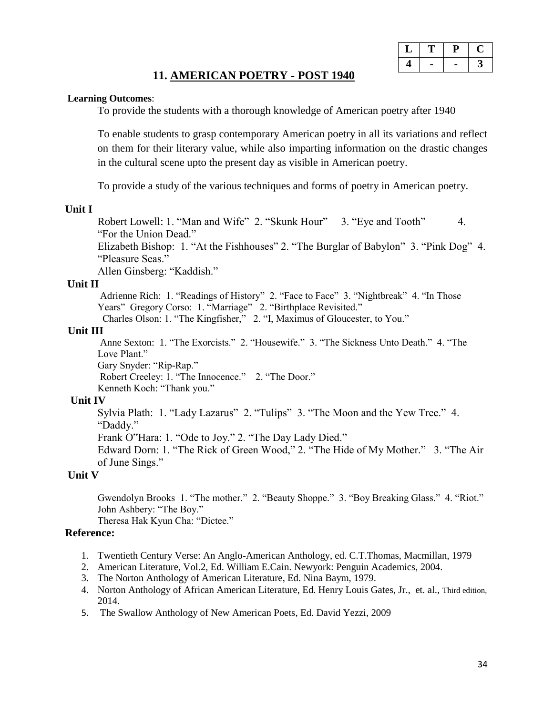### **11. AMERICAN POETRY - POST 1940**

#### **Learning Outcomes**:

To provide the students with a thorough knowledge of American poetry after 1940

To enable students to grasp contemporary American poetry in all its variations and reflect on them for their literary value, while also imparting information on the drastic changes in the cultural scene upto the present day as visible in American poetry.

To provide a study of the various techniques and forms of poetry in American poetry.

#### **Unit I**

Robert Lowell: 1. "Man and Wife" 2. "Skunk Hour" 3. "Eye and Tooth" 4. "For the Union Dead."

Elizabeth Bishop: 1. "At the Fishhouses" 2. "The Burglar of Babylon" 3. "Pink Dog" 4. "Pleasure Seas."

Allen Ginsberg: "Kaddish."

#### **Unit II**

Adrienne Rich: 1. "Readings of History" 2. "Face to Face" 3. "Nightbreak" 4. "In Those Years" Gregory Corso: 1. "Marriage" 2. "Birthplace Revisited."

Charles Olson: 1. "The Kingfisher," 2. "I, Maximus of Gloucester, to You."

#### **Unit III**

Anne Sexton: 1. "The Exorcists." 2. "Housewife." 3. "The Sickness Unto Death." 4. "The Love Plant."

Gary Snyder: "Rip-Rap."

Robert Creeley: 1. "The Innocence." 2. "The Door."

Kenneth Koch: "Thank you."

#### **Unit IV**

Sylvia Plath: 1. "Lady Lazarus" 2. "Tulips" 3. "The Moon and the Yew Tree." 4. "Daddy."

Frank O"Hara: 1. "Ode to Joy." 2. "The Day Lady Died."

Edward Dorn: 1. "The Rick of Green Wood," 2. "The Hide of My Mother." 3. "The Air of June Sings."

#### **Unit V**

Gwendolyn Brooks 1. "The mother." 2. "Beauty Shoppe." 3. "Boy Breaking Glass." 4. "Riot." John Ashbery: "The Boy."

Theresa Hak Kyun Cha: "Dictee."

#### **Reference:**

- 1. Twentieth Century Verse: An Anglo-American Anthology, ed. C.T.Thomas, Macmillan, 1979
- 2. American Literature, Vol.2, Ed. William E.Cain. Newyork: Penguin Academics, 2004.
- 3. The Norton Anthology of American Literature, Ed. Nina Baym, 1979.
- 4. Norton Anthology of African American Literature, Ed. Henry Louis Gates, Jr., et. al., Third edition, 2014.
- 5. The Swallow Anthology of New American Poets, Ed. David Yezzi, 2009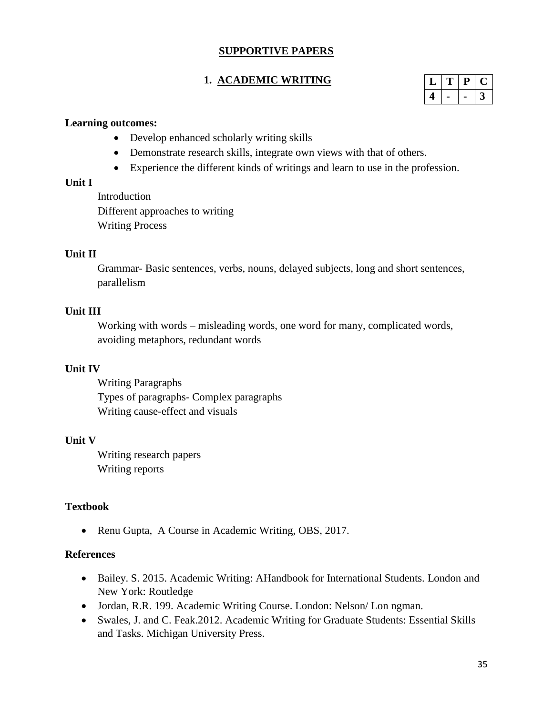### **SUPPORTIVE PAPERS**

### **1. ACADEMIC WRITING**

|  | ۰. |  |
|--|----|--|
|  |    |  |

#### **Learning outcomes:**

- Develop enhanced scholarly writing skills
- Demonstrate research skills, integrate own views with that of others.
- Experience the different kinds of writings and learn to use in the profession.

#### **Unit I**

Introduction Different approaches to writing Writing Process

#### **Unit II**

Grammar- Basic sentences, verbs, nouns, delayed subjects, long and short sentences, parallelism

#### **Unit III**

Working with words – misleading words, one word for many, complicated words, avoiding metaphors, redundant words

#### **Unit IV**

Writing Paragraphs Types of paragraphs- Complex paragraphs Writing cause-effect and visuals

#### **Unit V**

Writing research papers Writing reports

### **Textbook**

• Renu Gupta, A Course in Academic Writing, OBS, 2017.

#### **References**

- Bailey. S. 2015. Academic Writing: AHandbook for International Students. London and New York: Routledge
- Jordan, R.R. 199. Academic Writing Course. London: Nelson/Lon ngman.
- Swales, J. and C. Feak.2012. Academic Writing for Graduate Students: Essential Skills and Tasks. Michigan University Press.